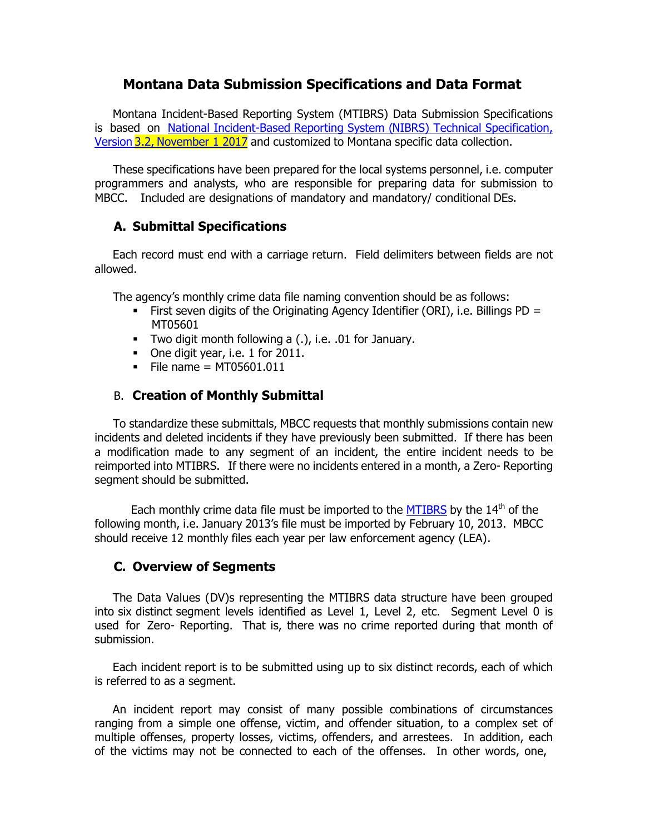## **Montana Data Submission Specifications and Data Format**

Montana Incident-Based Reporting System (MTIBRS) Data Submission Specifications is based on National [Incident-Based](http://mbcc.mt.gov/Portals/130/Data/NIBRSUserManualVer2.2.pdf) Reporting System (NIBRS) Technical Specification, Version 3.2, [November](http://mbcc.mt.gov/Portals/130/Data/NIBRSUserManualVer2.2.pdf) 1 2017 and customized to Montana specific data collection.

These specifications have been prepared for the local systems personnel, i.e. computer programmers and analysts, who are responsible for preparing data for submission to MBCC. Included are designations of mandatory and mandatory/ conditional DEs.

## **A. Submittal Specifications**

Each record must end with a carriage return. Field delimiters between fields are not allowed.

The agency's monthly crime data file naming convention should be as follows:

- **•** First seven digits of the Originating Agency Identifier (ORI), i.e. Billings PD = MT05601
- Two digit month following a (.), i.e. .01 for January.
- **•** One digit year, i.e. 1 for 2011.
- $\blacksquare$  File name = MT05601.011

## B. **Creation of Monthly Submittal**

To standardize these submittals, MBCC requests that monthly submissions contain new incidents and deleted incidents if they have previously been submitted. If there has been a modification made to any segment of an incident, the entire incident needs to be reimported into MTIBRS. If there were no incidents entered in a month, a Zero- Reporting segment should be submitted.

Each monthly crime data file must be imported to the [MTIBRS](http://mtibrs.mt.gov/login/) by the 14<sup>th</sup> of the following month, i.e. January 2013's file must be imported by February 10, 2013. MBCC should receive 12 monthly files each year per law enforcement agency (LEA).

## **C. Overview of Segments**

The Data Values (DV)s representing the MTIBRS data structure have been grouped into six distinct segment levels identified as Level 1, Level 2, etc. Segment Level 0 is used for Zero- Reporting. That is, there was no crime reported during that month of submission.

Each incident report is to be submitted using up to six distinct records, each of which is referred to as a segment.

An incident report may consist of many possible combinations of circumstances ranging from a simple one offense, victim, and offender situation, to a complex set of multiple offenses, property losses, victims, offenders, and arrestees. In addition, each of the victims may not be connected to each of the offenses. In other words, one,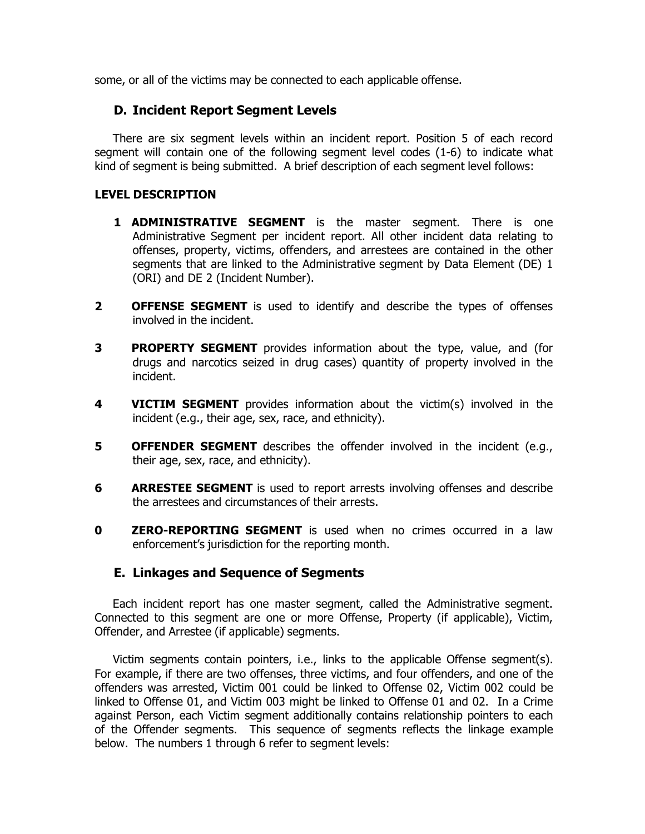some, or all of the victims may be connected to each applicable offense.

### **D. Incident Report Segment Levels**

There are six segment levels within an incident report. Position 5 of each record segment will contain one of the following segment level codes (1-6) to indicate what kind of segment is being submitted. A brief description of each segment level follows:

#### **LEVEL DESCRIPTION**

- **1 ADMINISTRATIVE SEGMENT** is the master segment. There is one Administrative Segment per incident report. All other incident data relating to offenses, property, victims, offenders, and arrestees are contained in the other segments that are linked to the Administrative segment by Data Element (DE) 1 (ORI) and DE 2 (Incident Number).
- **2 OFFENSE SEGMENT** is used to identify and describe the types of offenses involved in the incident.
- **3 PROPERTY SEGMENT** provides information about the type, value, and (for drugs and narcotics seized in drug cases) quantity of property involved in the incident.
- **4 VICTIM SEGMENT** provides information about the victim(s) involved in the incident (e.g., their age, sex, race, and ethnicity).
- **5 OFFENDER SEGMENT** describes the offender involved in the incident (e.g., their age, sex, race, and ethnicity).
- **6 ARRESTEE SEGMENT** is used to report arrests involving offenses and describe the arrestees and circumstances of their arrests.
- **0 ZERO-REPORTING SEGMENT** is used when no crimes occurred in a law enforcement's jurisdiction for the reporting month.

## **E. Linkages and Sequence of Segments**

Each incident report has one master segment, called the Administrative segment. Connected to this segment are one or more Offense, Property (if applicable), Victim, Offender, and Arrestee (if applicable) segments.

Victim segments contain pointers, i.e., links to the applicable Offense segment(s). For example, if there are two offenses, three victims, and four offenders, and one of the offenders was arrested, Victim 001 could be linked to Offense 02, Victim 002 could be linked to Offense 01, and Victim 003 might be linked to Offense 01 and 02. In a Crime against Person, each Victim segment additionally contains relationship pointers to each of the Offender segments. This sequence of segments reflects the linkage example below. The numbers 1 through 6 refer to segment levels: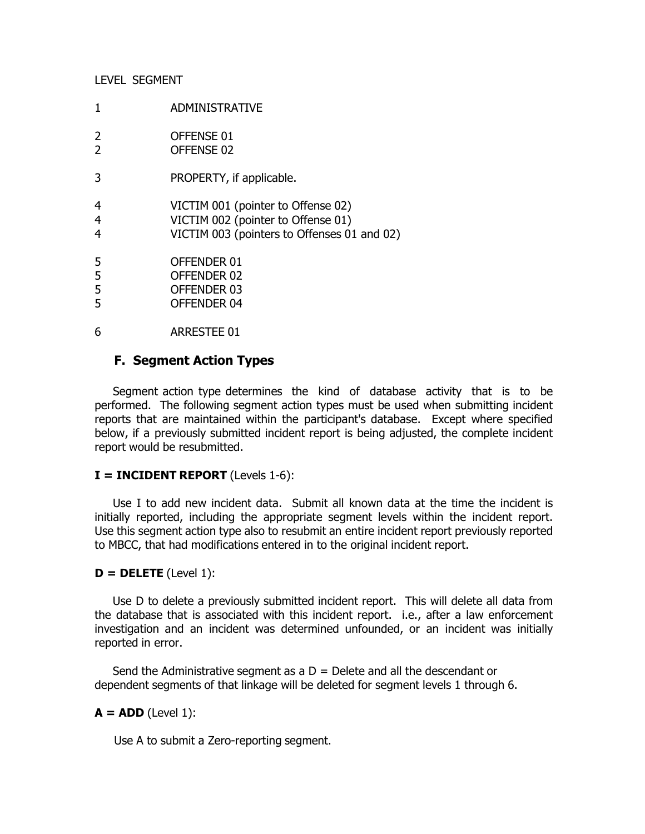#### LEVEL SEGMENT

1 ADMINISTRATIVE

| OFFENSE 01 |
|------------|
| OFFENSE 02 |

- 3 PROPERTY, if applicable.
- 4 VICTIM 001 (pointer to Offense 02)
- 4 VICTIM 002 (pointer to Offense 01)
- 4 VICTIM 003 (pointers to Offenses 01 and 02)
- 5 OFFENDER 01
- 5 OFFENDER 02
- 5 OFFENDER 03
- 5 OFFENDER 04
- 6 ARRESTEE 01

## **F. Segment Action Types**

Segment action type determines the kind of database activity that is to be performed. The following segment action types must be used when submitting incident reports that are maintained within the participant's database. Except where specified below, if a previously submitted incident report is being adjusted, the complete incident report would be resubmitted.

#### **I = INCIDENT REPORT** (Levels 1-6):

Use I to add new incident data. Submit all known data at the time the incident is initially reported, including the appropriate segment levels within the incident report. Use this segment action type also to resubmit an entire incident report previously reported to MBCC, that had modifications entered in to the original incident report.

#### $D = DELETE$  (Level 1):

Use D to delete a previously submitted incident report. This will delete all data from the database that is associated with this incident report. i.e., after a law enforcement investigation and an incident was determined unfounded, or an incident was initially reported in error.

Send the Administrative segment as a  $D =$  Delete and all the descendant or dependent segments of that linkage will be deleted for segment levels 1 through 6.

## $A = ADD (Level 1):$

Use A to submit a Zero-reporting segment.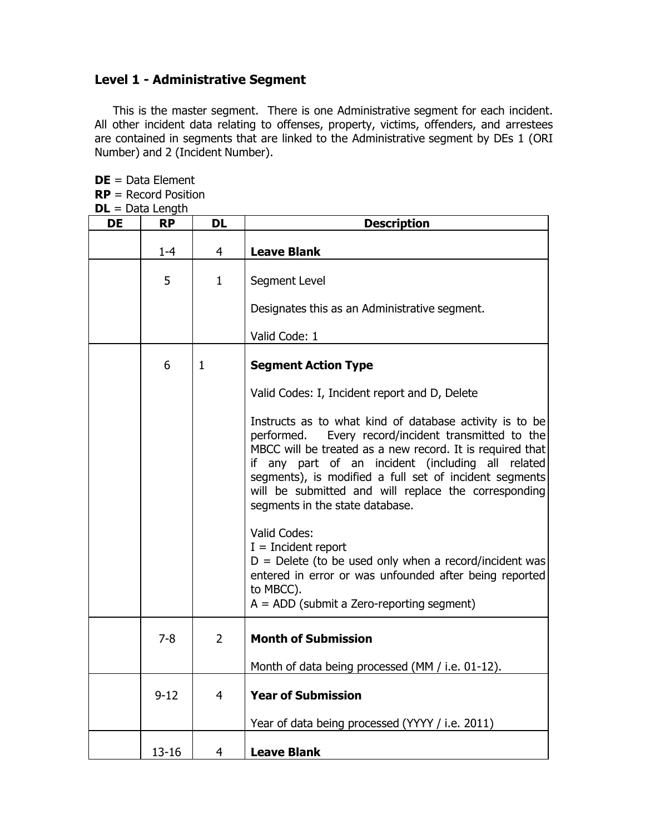## **Level 1 - Administrative Segment**

This is the master segment. There is one Administrative segment for each incident. All other incident data relating to offenses, property, victims, offenders, and arrestees are contained in segments that are linked to the Administrative segment by DEs 1 (ORI Number) and 2 (Incident Number).

**DE** = Data Element **RP** = Record Position **DL** = Data Length

| <b>DE</b> | <b>RP</b> | <b>DL</b>      | <b>Description</b>                                                                                                                                                                                                                                                                                                                                                                       |
|-----------|-----------|----------------|------------------------------------------------------------------------------------------------------------------------------------------------------------------------------------------------------------------------------------------------------------------------------------------------------------------------------------------------------------------------------------------|
|           | $1 - 4$   | 4              | <b>Leave Blank</b>                                                                                                                                                                                                                                                                                                                                                                       |
|           | 5         | $\mathbf{1}$   | Segment Level                                                                                                                                                                                                                                                                                                                                                                            |
|           |           |                | Designates this as an Administrative segment.                                                                                                                                                                                                                                                                                                                                            |
|           |           |                | Valid Code: 1                                                                                                                                                                                                                                                                                                                                                                            |
|           | 6         | 1              | <b>Segment Action Type</b>                                                                                                                                                                                                                                                                                                                                                               |
|           |           |                | Valid Codes: I, Incident report and D, Delete                                                                                                                                                                                                                                                                                                                                            |
|           |           |                | Instructs as to what kind of database activity is to be<br>performed.<br>Every record/incident transmitted to the<br>MBCC will be treated as a new record. It is required that<br>if any part of an incident (including all related<br>segments), is modified a full set of incident segments<br>will be submitted and will replace the corresponding<br>segments in the state database. |
|           |           |                | Valid Codes:<br>$I = Incident report$<br>$D =$ Delete (to be used only when a record/incident was<br>entered in error or was unfounded after being reported<br>to MBCC).<br>$A = ADD$ (submit a Zero-reporting segment)                                                                                                                                                                  |
|           | $7 - 8$   | $\overline{2}$ | <b>Month of Submission</b>                                                                                                                                                                                                                                                                                                                                                               |
|           |           |                | Month of data being processed (MM / i.e. 01-12).                                                                                                                                                                                                                                                                                                                                         |
|           | $9 - 12$  | $\overline{4}$ | <b>Year of Submission</b>                                                                                                                                                                                                                                                                                                                                                                |
|           |           |                | Year of data being processed (YYYY / i.e. 2011)                                                                                                                                                                                                                                                                                                                                          |
|           | $13 - 16$ | 4              | <b>Leave Blank</b>                                                                                                                                                                                                                                                                                                                                                                       |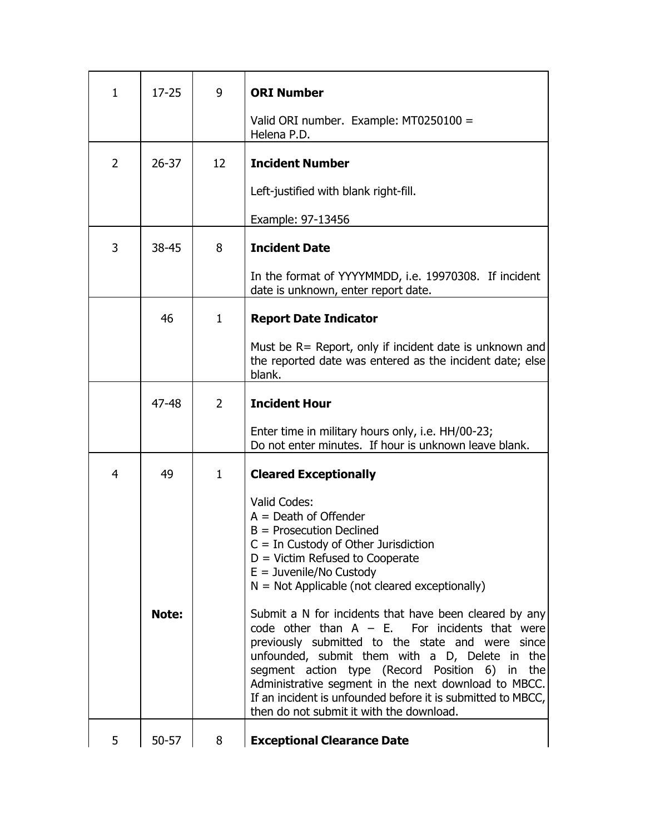| $\mathbf{1}$   | $17 - 25$    | 9              | <b>ORI Number</b>                                                                                                                                                                                                                                                                                                                                                               |
|----------------|--------------|----------------|---------------------------------------------------------------------------------------------------------------------------------------------------------------------------------------------------------------------------------------------------------------------------------------------------------------------------------------------------------------------------------|
|                |              |                | Valid ORI number. Example: MT0250100 =<br>Helena P.D.                                                                                                                                                                                                                                                                                                                           |
| 2              | $26 - 37$    | 12             | <b>Incident Number</b>                                                                                                                                                                                                                                                                                                                                                          |
|                |              |                | Left-justified with blank right-fill.                                                                                                                                                                                                                                                                                                                                           |
|                |              |                | Example: 97-13456                                                                                                                                                                                                                                                                                                                                                               |
| 3              | 38-45        | 8              | <b>Incident Date</b>                                                                                                                                                                                                                                                                                                                                                            |
|                |              |                | In the format of YYYYMMDD, i.e. 19970308. If incident<br>date is unknown, enter report date.                                                                                                                                                                                                                                                                                    |
|                | 46           | $\mathbf{1}$   | <b>Report Date Indicator</b>                                                                                                                                                                                                                                                                                                                                                    |
|                |              |                | Must be R= Report, only if incident date is unknown and<br>the reported date was entered as the incident date; else<br>blank.                                                                                                                                                                                                                                                   |
|                | 47-48        | $\overline{2}$ | <b>Incident Hour</b>                                                                                                                                                                                                                                                                                                                                                            |
|                |              |                | Enter time in military hours only, i.e. HH/00-23;<br>Do not enter minutes. If hour is unknown leave blank.                                                                                                                                                                                                                                                                      |
| $\overline{4}$ | 49           | $\mathbf{1}$   | <b>Cleared Exceptionally</b>                                                                                                                                                                                                                                                                                                                                                    |
|                | <b>Note:</b> |                | Valid Codes:<br>$A = Death of Officer$<br>$B =$ Prosecution Declined<br>$C = In$ Custody of Other Jurisdiction<br>$D =$ Victim Refused to Cooperate<br>$E =$ Juvenile/No Custody<br>$N = Not$ Applicable (not cleared exceptionally)<br>Submit a N for incidents that have been cleared by any                                                                                  |
|                |              |                | code other than $A - E$ . For incidents that were<br>previously submitted to the state and were since<br>unfounded, submit them with a D, Delete in the<br>segment action type (Record Position 6) in<br>the<br>Administrative segment in the next download to MBCC.<br>If an incident is unfounded before it is submitted to MBCC,<br>then do not submit it with the download. |
| 5              | $50 - 57$    | 8              | <b>Exceptional Clearance Date</b>                                                                                                                                                                                                                                                                                                                                               |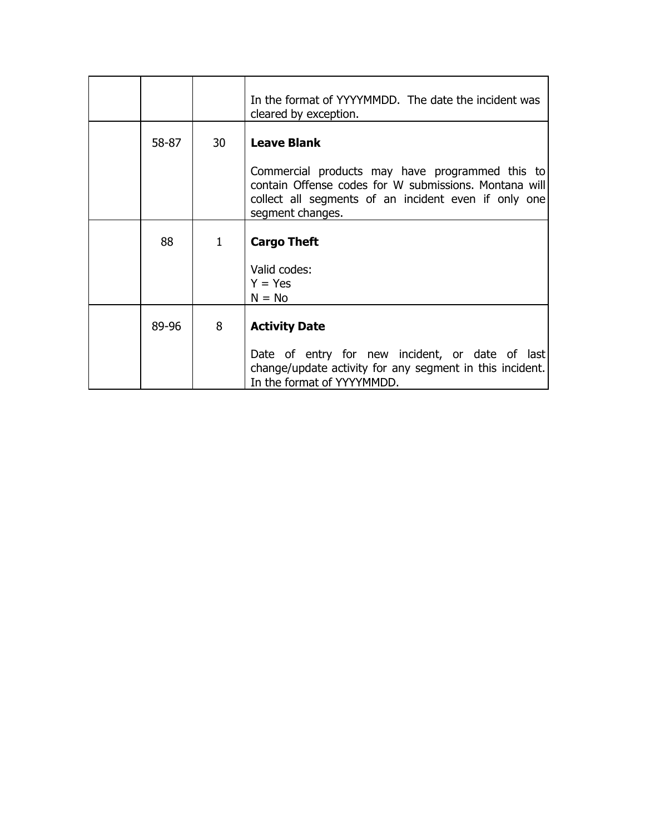|       |    | In the format of YYYYMMDD. The date the incident was<br>cleared by exception.                                                                                                        |
|-------|----|--------------------------------------------------------------------------------------------------------------------------------------------------------------------------------------|
| 58-87 | 30 | <b>Leave Blank</b>                                                                                                                                                                   |
|       |    | Commercial products may have programmed this to<br>contain Offense codes for W submissions. Montana will<br>collect all segments of an incident even if only one<br>segment changes. |
| 88    | 1  | <b>Cargo Theft</b>                                                                                                                                                                   |
|       |    | Valid codes:<br>$Y = Yes$<br>$N = No$                                                                                                                                                |
| 89-96 | 8  | <b>Activity Date</b>                                                                                                                                                                 |
|       |    | Date of entry for new incident, or date of last<br>change/update activity for any segment in this incident.<br>In the format of YYYYMMDD.                                            |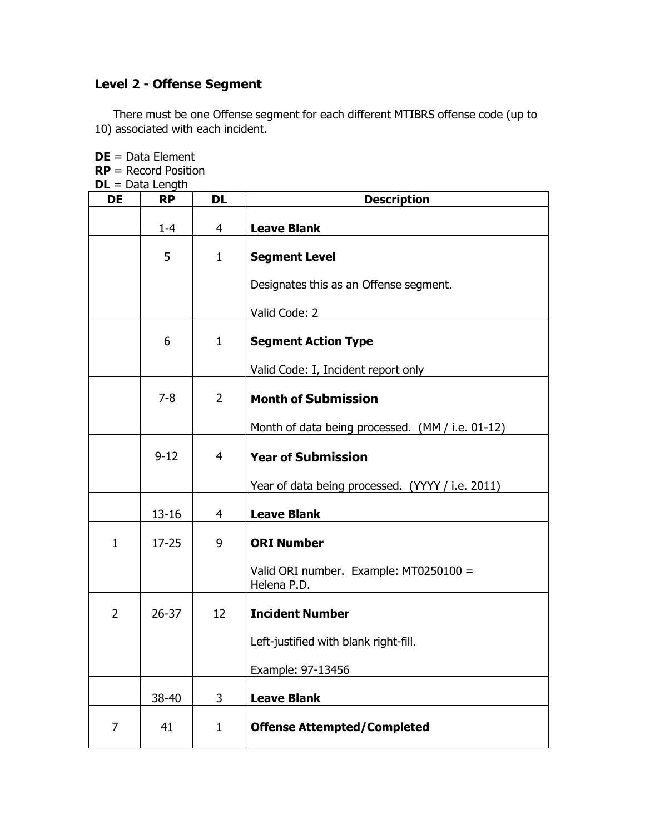# **Level 2 - Offense Segment**

There must be one Offense segment for each different MTIBRS offense code (up to 10) associated with each incident.

|                | $DE = Data Element$<br>$RP =$ Record Position |                |                                                       |  |  |
|----------------|-----------------------------------------------|----------------|-------------------------------------------------------|--|--|
|                | $DL = Data Length$                            |                |                                                       |  |  |
| <b>DE</b>      | <b>RP</b>                                     | <b>DL</b>      | <b>Description</b>                                    |  |  |
|                | $1 - 4$                                       | 4              | <b>Leave Blank</b>                                    |  |  |
|                | 5                                             | $\mathbf{1}$   | <b>Segment Level</b>                                  |  |  |
|                |                                               |                | Designates this as an Offense segment.                |  |  |
|                |                                               |                | Valid Code: 2                                         |  |  |
|                | 6                                             | $\mathbf{1}$   | <b>Segment Action Type</b>                            |  |  |
|                |                                               |                | Valid Code: I, Incident report only                   |  |  |
|                | $7 - 8$                                       | $\overline{2}$ | <b>Month of Submission</b>                            |  |  |
|                |                                               |                | Month of data being processed. (MM / i.e. 01-12)      |  |  |
|                | $9 - 12$                                      | 4              | <b>Year of Submission</b>                             |  |  |
|                |                                               |                | Year of data being processed. (YYYY / i.e. 2011)      |  |  |
|                | $13 - 16$                                     | 4              | <b>Leave Blank</b>                                    |  |  |
| $\mathbf{1}$   | $17 - 25$                                     | 9              | <b>ORI Number</b>                                     |  |  |
|                |                                               |                | Valid ORI number. Example: MT0250100 =<br>Helena P.D. |  |  |
| $\overline{2}$ | $26 - 37$                                     | 12             | <b>Incident Number</b>                                |  |  |
|                |                                               |                | Left-justified with blank right-fill.                 |  |  |
|                |                                               |                | Example: 97-13456                                     |  |  |
|                | 38-40                                         | 3              | <b>Leave Blank</b>                                    |  |  |
| 7              | 41                                            | $\mathbf{1}$   | <b>Offense Attempted/Completed</b>                    |  |  |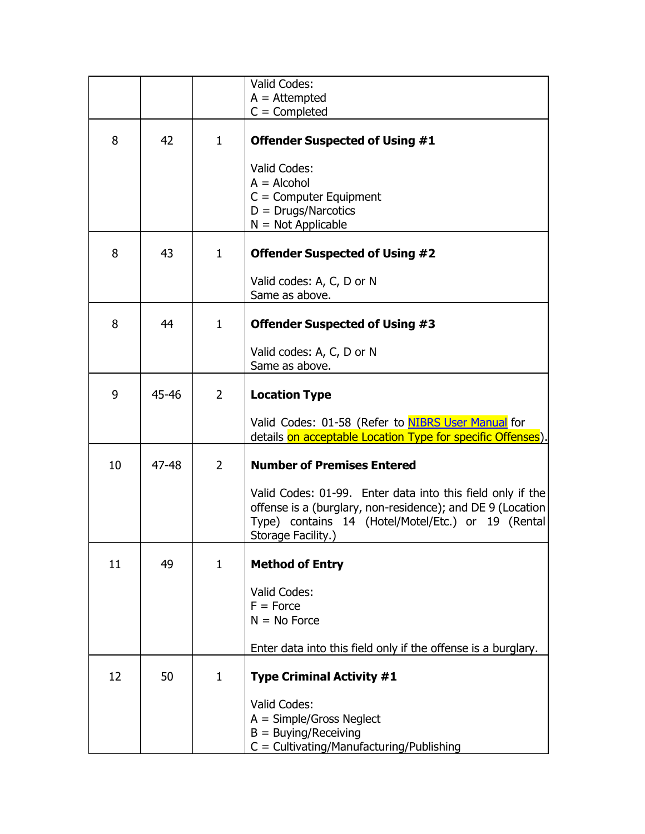|    |       |                | Valid Codes:<br>$A =$ Attempted<br>$C =$ Completed                                                                                                                                                   |
|----|-------|----------------|------------------------------------------------------------------------------------------------------------------------------------------------------------------------------------------------------|
| 8  | 42    | $\mathbf{1}$   | <b>Offender Suspected of Using #1</b>                                                                                                                                                                |
|    |       |                | Valid Codes:<br>$A = Alcohol$<br>$C =$ Computer Equipment<br>$D = Drugs/Narcotics$<br>$N = Not Applicable$                                                                                           |
| 8  | 43    | $\mathbf{1}$   | <b>Offender Suspected of Using #2</b>                                                                                                                                                                |
|    |       |                | Valid codes: A, C, D or N<br>Same as above.                                                                                                                                                          |
| 8  | 44    | $\mathbf{1}$   | <b>Offender Suspected of Using #3</b>                                                                                                                                                                |
|    |       |                | Valid codes: A, C, D or N<br>Same as above.                                                                                                                                                          |
| 9  | 45-46 | $\overline{2}$ | <b>Location Type</b>                                                                                                                                                                                 |
|    |       |                | Valid Codes: 01-58 (Refer to NIBRS User Manual for<br>details on acceptable Location Type for specific Offenses).                                                                                    |
| 10 | 47-48 | $\overline{2}$ | <b>Number of Premises Entered</b>                                                                                                                                                                    |
|    |       |                | Valid Codes: 01-99. Enter data into this field only if the<br>offense is a (burglary, non-residence); and DE 9 (Location<br>Type) contains 14 (Hotel/Motel/Etc.) or 19 (Rental<br>Storage Facility.) |
| 11 | 49    | $\mathbf{1}$   | <b>Method of Entry</b>                                                                                                                                                                               |
|    |       |                | Valid Codes:<br>$F = Force$<br>$N = No$ Force                                                                                                                                                        |
|    |       |                | Enter data into this field only if the offense is a burglary.                                                                                                                                        |
| 12 | 50    | $\mathbf{1}$   | <b>Type Criminal Activity #1</b>                                                                                                                                                                     |
|    |       |                | Valid Codes:<br>$A = Simple/Gross Neglect$<br>$B = \text{Buying/Receiving}$<br>$C = \text{Cultivating/Manufacturing/Publishing}$                                                                     |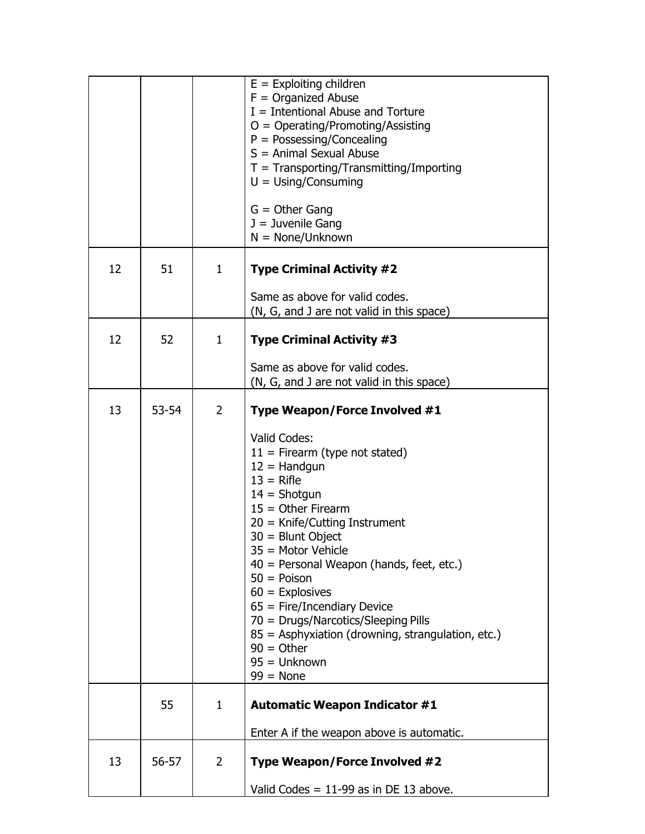|    |           |                | $E =$ Exploiting children<br>$F =$ Organized Abuse<br>$I =$ Intentional Abuse and Torture<br>$O = Operating/Promoting/Assisting$<br>$P = Possessing/Concealing$<br>$S =$ Animal Sexual Abuse<br>$T = Transporting/Transmitting/Importing$<br>$U = Using/Consuming$<br>$G =$ Other Gang<br>$J =$ Juvenile Gang<br>$N = None/Unknown$                                                                                                                                             |
|----|-----------|----------------|---------------------------------------------------------------------------------------------------------------------------------------------------------------------------------------------------------------------------------------------------------------------------------------------------------------------------------------------------------------------------------------------------------------------------------------------------------------------------------|
| 12 | 51        | $\mathbf{1}$   | <b>Type Criminal Activity #2</b>                                                                                                                                                                                                                                                                                                                                                                                                                                                |
|    |           |                | Same as above for valid codes.<br>(N, G, and J are not valid in this space)                                                                                                                                                                                                                                                                                                                                                                                                     |
| 12 | 52        | $\mathbf{1}$   | <b>Type Criminal Activity #3</b>                                                                                                                                                                                                                                                                                                                                                                                                                                                |
|    |           |                | Same as above for valid codes.<br>(N, G, and J are not valid in this space)                                                                                                                                                                                                                                                                                                                                                                                                     |
| 13 | $53 - 54$ | $\overline{2}$ | Type Weapon/Force Involved #1                                                                                                                                                                                                                                                                                                                                                                                                                                                   |
|    |           |                | Valid Codes:<br>$11 =$ Firearm (type not stated)<br>$12 =$ Handgun<br>$13$ = Rifle<br>$14 =$ Shotgun<br>$15 =$ Other Firearm<br>$20 =$ Knife/Cutting Instrument<br>$30 =$ Blunt Object<br>$35 =$ Motor Vehicle<br>40 = Personal Weapon (hands, feet, etc.)<br>$50 = Poisson$<br>$60$ = Explosives<br>$65$ = Fire/Incendiary Device<br>70 = Drugs/Narcotics/Sleeping Pills<br>85 = Asphyxiation (drowning, strangulation, etc.)<br>$90 =$ Other<br>$95 =$ Unknown<br>$99 = None$ |
|    | 55        | $\mathbf{1}$   | <b>Automatic Weapon Indicator #1</b>                                                                                                                                                                                                                                                                                                                                                                                                                                            |
|    |           |                | Enter A if the weapon above is automatic.                                                                                                                                                                                                                                                                                                                                                                                                                                       |
| 13 | 56-57     | 2              | Type Weapon/Force Involved #2                                                                                                                                                                                                                                                                                                                                                                                                                                                   |
|    |           |                | Valid Codes = $11-99$ as in DE 13 above.                                                                                                                                                                                                                                                                                                                                                                                                                                        |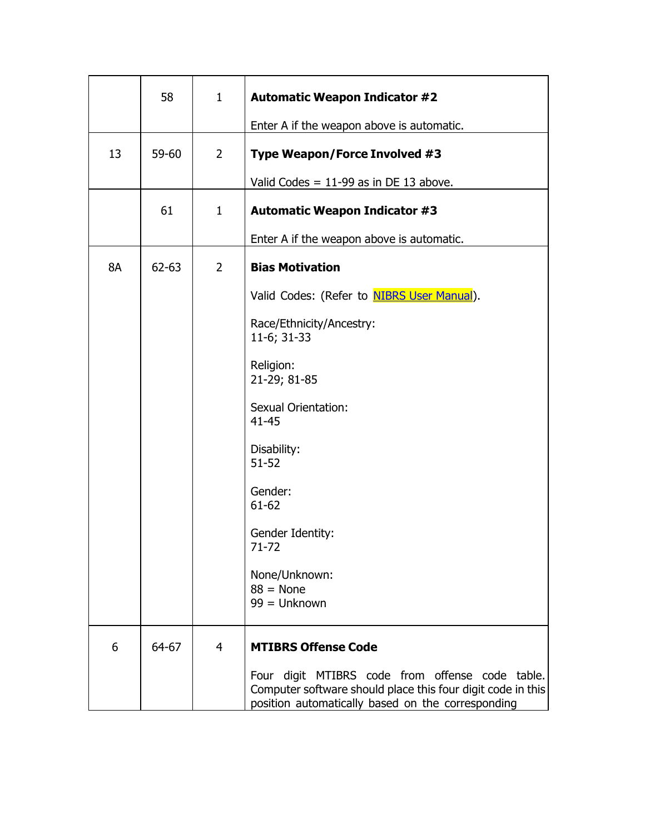|           | 58        | $\mathbf{1}$   | <b>Automatic Weapon Indicator #2</b>                                                                                                                                |
|-----------|-----------|----------------|---------------------------------------------------------------------------------------------------------------------------------------------------------------------|
|           |           |                | Enter A if the weapon above is automatic.                                                                                                                           |
| 13        | 59-60     | $\overline{2}$ | Type Weapon/Force Involved #3                                                                                                                                       |
|           |           |                | Valid Codes = $11-99$ as in DE 13 above.                                                                                                                            |
|           | 61        | $\mathbf{1}$   | <b>Automatic Weapon Indicator #3</b>                                                                                                                                |
|           |           |                | Enter A if the weapon above is automatic.                                                                                                                           |
| <b>8A</b> | $62 - 63$ | $\overline{2}$ | <b>Bias Motivation</b>                                                                                                                                              |
|           |           |                | Valid Codes: (Refer to <b>NIBRS User Manual</b> ).                                                                                                                  |
|           |           |                | Race/Ethnicity/Ancestry:<br>11-6; 31-33                                                                                                                             |
|           |           |                | Religion:<br>21-29; 81-85                                                                                                                                           |
|           |           |                | <b>Sexual Orientation:</b><br>$41 - 45$                                                                                                                             |
|           |           |                | Disability:<br>$51 - 52$                                                                                                                                            |
|           |           |                | Gender:<br>$61 - 62$                                                                                                                                                |
|           |           |                | Gender Identity:<br>71-72                                                                                                                                           |
|           |           |                | None/Unknown:<br>$88 = None$<br>$99 =$ Unknown                                                                                                                      |
|           |           |                |                                                                                                                                                                     |
| 6         | 64-67     | $\overline{4}$ | <b>MTIBRS Offense Code</b>                                                                                                                                          |
|           |           |                | Four digit MTIBRS code from offense code table.<br>Computer software should place this four digit code in this<br>position automatically based on the corresponding |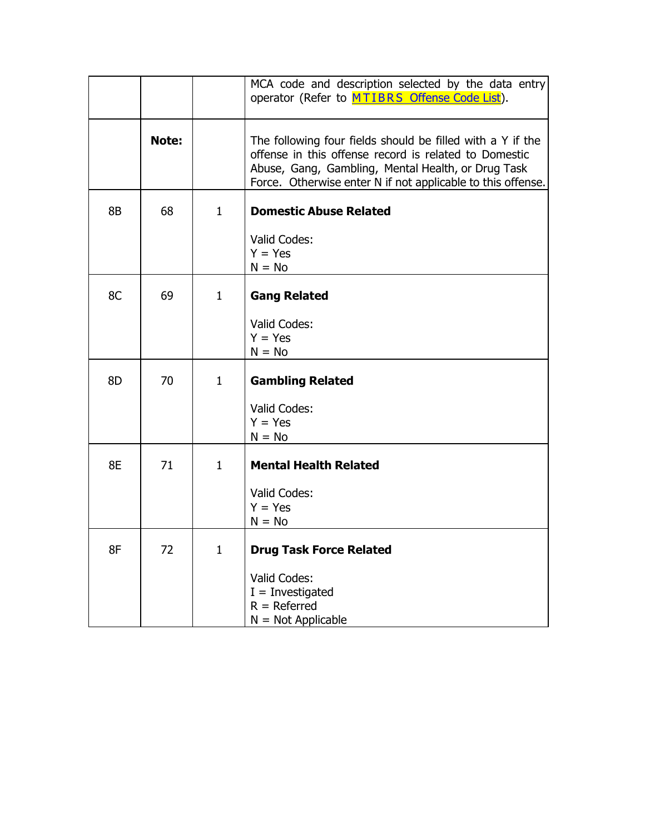|    |              |              | MCA code and description selected by the data entry<br>operator (Refer to MTIBRS Offense Code List).                                                                                                                                     |
|----|--------------|--------------|------------------------------------------------------------------------------------------------------------------------------------------------------------------------------------------------------------------------------------------|
|    | <b>Note:</b> |              | The following four fields should be filled with a Y if the<br>offense in this offense record is related to Domestic<br>Abuse, Gang, Gambling, Mental Health, or Drug Task<br>Force. Otherwise enter N if not applicable to this offense. |
| 8B | 68           | $\mathbf{1}$ | <b>Domestic Abuse Related</b>                                                                                                                                                                                                            |
|    |              |              | Valid Codes:<br>$Y = Yes$<br>$N = No$                                                                                                                                                                                                    |
| 8C | 69           | $\mathbf{1}$ | <b>Gang Related</b>                                                                                                                                                                                                                      |
|    |              |              | Valid Codes:<br>$Y = Yes$<br>$N = No$                                                                                                                                                                                                    |
| 8D | 70           | $\mathbf{1}$ | <b>Gambling Related</b>                                                                                                                                                                                                                  |
|    |              |              | Valid Codes:<br>$Y = Yes$<br>$N = No$                                                                                                                                                                                                    |
| 8E | 71           | $\mathbf{1}$ | <b>Mental Health Related</b>                                                                                                                                                                                                             |
|    |              |              | Valid Codes:<br>$Y = Yes$<br>$N = No$                                                                                                                                                                                                    |
| 8F | 72           | $\mathbf 1$  | <b>Drug Task Force Related</b>                                                                                                                                                                                                           |
|    |              |              | Valid Codes:<br>$I =$ Investigated<br>$R =$ Referred<br>$N = Not Applicable$                                                                                                                                                             |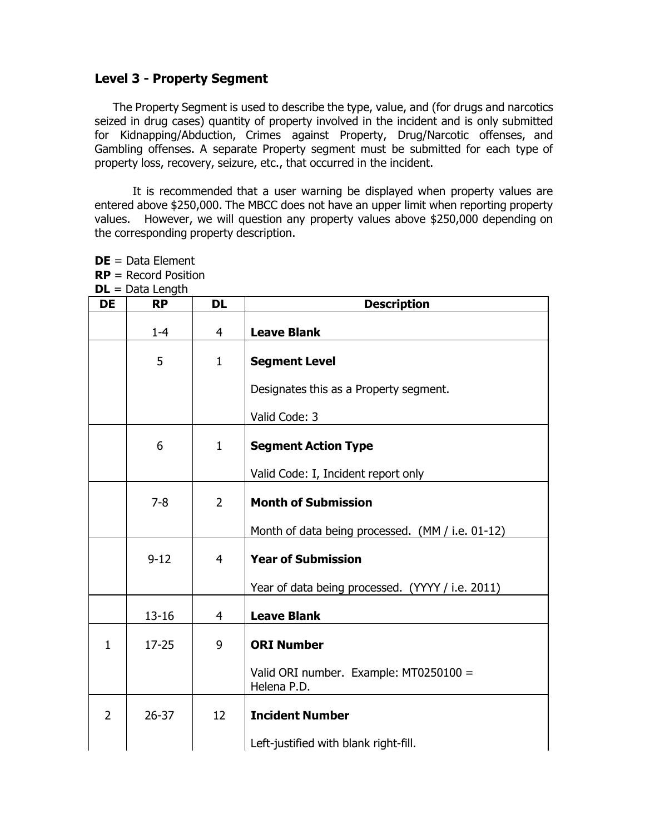## **Level 3 - Property Segment**

**DE** = Data Element **RP** = Record Position

The Property Segment is used to describe the type, value, and (for drugs and narcotics seized in drug cases) quantity of property involved in the incident and is only submitted for Kidnapping/Abduction, Crimes against Property, Drug/Narcotic offenses, and Gambling offenses. A separate Property segment must be submitted for each type of property loss, recovery, seizure, etc., that occurred in the incident.

It is recommended that a user warning be displayed when property values are entered above \$250,000. The MBCC does not have an upper limit when reporting property values. However, we will question any property values above \$250,000 depending on the corresponding property description.

|                | $DL = Data Length$ |                |                                                       |
|----------------|--------------------|----------------|-------------------------------------------------------|
| <b>DE</b>      | <b>RP</b>          | <b>DL</b>      | <b>Description</b>                                    |
|                | $1 - 4$            | $\overline{4}$ | <b>Leave Blank</b>                                    |
|                | 5                  | $\mathbf{1}$   | <b>Segment Level</b>                                  |
|                |                    |                | Designates this as a Property segment.                |
|                |                    |                | Valid Code: 3                                         |
|                | 6                  | $\mathbf{1}$   | <b>Segment Action Type</b>                            |
|                |                    |                | Valid Code: I, Incident report only                   |
|                | $7 - 8$            | $\overline{2}$ | <b>Month of Submission</b>                            |
|                |                    |                | Month of data being processed. (MM / i.e. 01-12)      |
|                | $9 - 12$           | $\overline{4}$ | <b>Year of Submission</b>                             |
|                |                    |                | Year of data being processed. (YYYY / i.e. 2011)      |
|                | $13 - 16$          | 4              | <b>Leave Blank</b>                                    |
| $\mathbf{1}$   | $17 - 25$          | 9              | <b>ORI Number</b>                                     |
|                |                    |                | Valid ORI number. Example: MT0250100 =<br>Helena P.D. |
| $\overline{2}$ | $26 - 37$          | 12             | <b>Incident Number</b>                                |
|                |                    |                | Left-justified with blank right-fill.                 |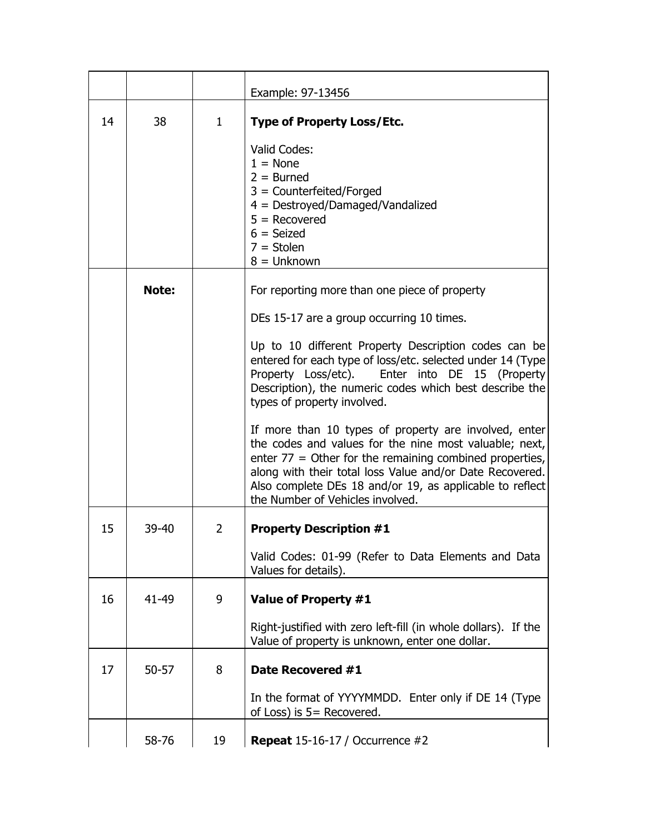|    |           |                | Example: 97-13456                                                                                                                                                                                                                                                                                                                        |
|----|-----------|----------------|------------------------------------------------------------------------------------------------------------------------------------------------------------------------------------------------------------------------------------------------------------------------------------------------------------------------------------------|
| 14 | 38        | 1              | <b>Type of Property Loss/Etc.</b>                                                                                                                                                                                                                                                                                                        |
|    |           |                | Valid Codes:<br>$1 = None$<br>$2 = Burned$<br>3 = Counterfeited/Forged<br>4 = Destroyed/Damaged/Vandalized<br>$5 =$ Recovered<br>$6 = Seized$<br>$7 =$ Stolen<br>$8 =$ Unknown                                                                                                                                                           |
|    | Note:     |                | For reporting more than one piece of property                                                                                                                                                                                                                                                                                            |
|    |           |                | DEs 15-17 are a group occurring 10 times.                                                                                                                                                                                                                                                                                                |
|    |           |                | Up to 10 different Property Description codes can be<br>entered for each type of loss/etc. selected under 14 (Type)<br>Property Loss/etc). Enter into DE 15 (Property<br>Description), the numeric codes which best describe the<br>types of property involved.                                                                          |
|    |           |                | If more than 10 types of property are involved, enter<br>the codes and values for the nine most valuable; next,<br>enter $77 =$ Other for the remaining combined properties,<br>along with their total loss Value and/or Date Recovered.<br>Also complete DEs 18 and/or 19, as applicable to reflect<br>the Number of Vehicles involved. |
| 15 | $39 - 40$ | $\overline{2}$ | <b>Property Description #1</b>                                                                                                                                                                                                                                                                                                           |
|    |           |                | Valid Codes: 01-99 (Refer to Data Elements and Data<br>Values for details).                                                                                                                                                                                                                                                              |
| 16 | 41-49     | 9              | Value of Property #1                                                                                                                                                                                                                                                                                                                     |
|    |           |                | Right-justified with zero left-fill (in whole dollars). If the<br>Value of property is unknown, enter one dollar.                                                                                                                                                                                                                        |
| 17 | $50 - 57$ | 8              | Date Recovered #1                                                                                                                                                                                                                                                                                                                        |
|    |           |                | In the format of YYYYMMDD. Enter only if DE 14 (Type<br>of Loss) is $5 =$ Recovered.                                                                                                                                                                                                                                                     |
|    | 58-76     | 19             | <b>Repeat</b> 15-16-17 / Occurrence $#2$                                                                                                                                                                                                                                                                                                 |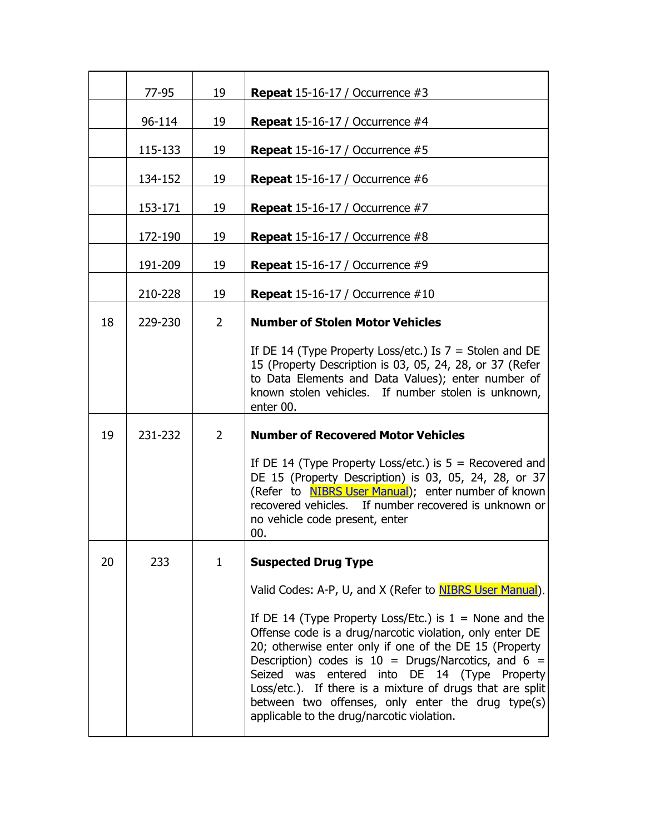|    | 77-95   | 19             | <b>Repeat</b> 15-16-17 / Occurrence $#3$                                                                                                                                                                                                                                                                                                                                                                                                                        |
|----|---------|----------------|-----------------------------------------------------------------------------------------------------------------------------------------------------------------------------------------------------------------------------------------------------------------------------------------------------------------------------------------------------------------------------------------------------------------------------------------------------------------|
|    | 96-114  | 19             | <b>Repeat</b> 15-16-17 / Occurrence $#4$                                                                                                                                                                                                                                                                                                                                                                                                                        |
|    | 115-133 | 19             | <b>Repeat</b> 15-16-17 / Occurrence $#5$                                                                                                                                                                                                                                                                                                                                                                                                                        |
|    | 134-152 | 19             | <b>Repeat</b> 15-16-17 / Occurrence $#6$                                                                                                                                                                                                                                                                                                                                                                                                                        |
|    | 153-171 | 19             | <b>Repeat</b> 15-16-17 / Occurrence $#7$                                                                                                                                                                                                                                                                                                                                                                                                                        |
|    | 172-190 | 19             | <b>Repeat</b> 15-16-17 / Occurrence #8                                                                                                                                                                                                                                                                                                                                                                                                                          |
|    | 191-209 | 19             | <b>Repeat</b> $15-16-17$ / Occurrence #9                                                                                                                                                                                                                                                                                                                                                                                                                        |
|    | 210-228 | 19             | <b>Repeat</b> 15-16-17 / Occurrence $\#10$                                                                                                                                                                                                                                                                                                                                                                                                                      |
| 18 | 229-230 | $\overline{2}$ | <b>Number of Stolen Motor Vehicles</b>                                                                                                                                                                                                                                                                                                                                                                                                                          |
|    |         |                | If DE 14 (Type Property Loss/etc.) Is $7 =$ Stolen and DE<br>15 (Property Description is 03, 05, 24, 28, or 37 (Refer<br>to Data Elements and Data Values); enter number of<br>known stolen vehicles. If number stolen is unknown,<br>enter 00.                                                                                                                                                                                                                 |
| 19 | 231-232 | $\overline{2}$ | <b>Number of Recovered Motor Vehicles</b>                                                                                                                                                                                                                                                                                                                                                                                                                       |
|    |         |                | If DE 14 (Type Property Loss/etc.) is $5 =$ Recovered and<br>DE 15 (Property Description) is 03, 05, 24, 28, or 37<br>(Refer to <b>NIBRS User Manual</b> ); enter number of known<br>recovered vehicles. If number recovered is unknown or<br>no vehicle code present, enter<br>00.                                                                                                                                                                             |
| 20 | 233     | 1              | <b>Suspected Drug Type</b>                                                                                                                                                                                                                                                                                                                                                                                                                                      |
|    |         |                | Valid Codes: A-P, U, and X (Refer to NIBRS User Manual).                                                                                                                                                                                                                                                                                                                                                                                                        |
|    |         |                | If DE 14 (Type Property Loss/Etc.) is $1 =$ None and the<br>Offense code is a drug/narcotic violation, only enter DE<br>20; otherwise enter only if one of the DE 15 (Property<br>Description) codes is $10 = \text{Drugs/Narcotics}$ , and 6 =<br>Seized was entered into DE 14 (Type Property<br>Loss/etc.). If there is a mixture of drugs that are split<br>between two offenses, only enter the drug type(s)<br>applicable to the drug/narcotic violation. |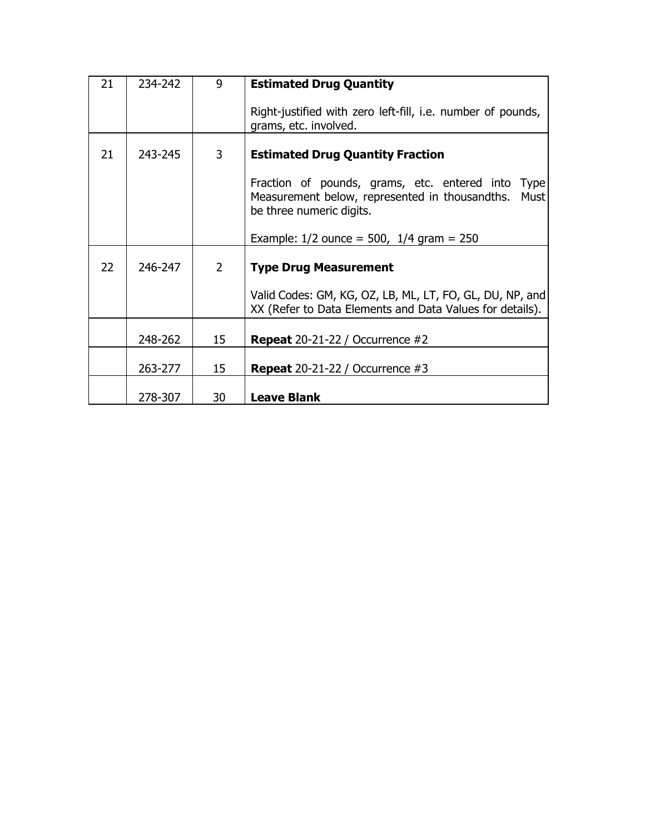| 21 | 234-242 | 9              | <b>Estimated Drug Quantity</b>                                                                                                                    |
|----|---------|----------------|---------------------------------------------------------------------------------------------------------------------------------------------------|
|    |         |                | Right-justified with zero left-fill, i.e. number of pounds,<br>grams, etc. involved.                                                              |
| 21 | 243-245 | 3              | <b>Estimated Drug Quantity Fraction</b>                                                                                                           |
|    |         |                | Fraction of pounds, grams, etc. entered into<br><b>Type</b><br>Measurement below, represented in thousandths.<br>Must<br>be three numeric digits. |
|    |         |                | Example: $1/2$ ounce = 500, $1/4$ gram = 250                                                                                                      |
| 22 | 246-247 | $\overline{2}$ | <b>Type Drug Measurement</b>                                                                                                                      |
|    |         |                | Valid Codes: GM, KG, OZ, LB, ML, LT, FO, GL, DU, NP, and<br>XX (Refer to Data Elements and Data Values for details).                              |
|    | 248-262 | 15             | <b>Repeat</b> $20-21-22$ / Occurrence $#2$                                                                                                        |
|    | 263-277 | 15             | <b>Repeat</b> $20-21-22$ / Occurrence #3                                                                                                          |
|    | 278-307 | 30             | <b>Leave Blank</b>                                                                                                                                |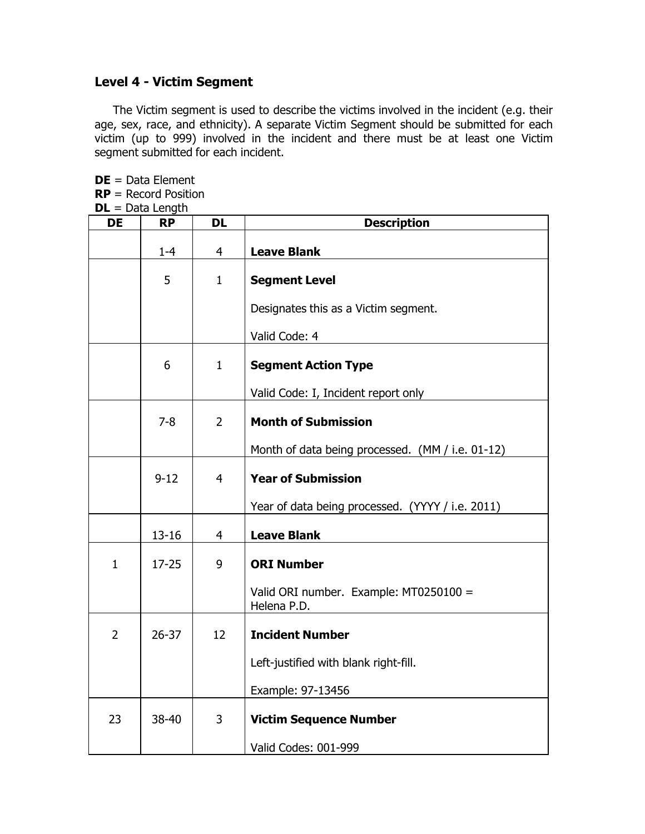## **Level 4 - Victim Segment**

The Victim segment is used to describe the victims involved in the incident (e.g. their age, sex, race, and ethnicity). A separate Victim Segment should be submitted for each victim (up to 999) involved in the incident and there must be at least one Victim segment submitted for each incident.

**DE** = Data Element **RP** = Record Position **DL** = Data Length

| <b>DE</b>      | <b>RP</b> | <b>DL</b>      | <b>Description</b>                                    |
|----------------|-----------|----------------|-------------------------------------------------------|
|                | $1 - 4$   | $\overline{4}$ | <b>Leave Blank</b>                                    |
|                | 5         | $\mathbf{1}$   | <b>Segment Level</b>                                  |
|                |           |                | Designates this as a Victim segment.                  |
|                |           |                | Valid Code: 4                                         |
|                | 6         | $\mathbf{1}$   | <b>Segment Action Type</b>                            |
|                |           |                | Valid Code: I, Incident report only                   |
|                | $7 - 8$   | $\overline{2}$ | <b>Month of Submission</b>                            |
|                |           |                | Month of data being processed. (MM / i.e. 01-12)      |
|                | $9 - 12$  | $\overline{4}$ | <b>Year of Submission</b>                             |
|                |           |                | Year of data being processed. (YYYY / i.e. 2011)      |
|                | $13 - 16$ | $\overline{4}$ | <b>Leave Blank</b>                                    |
| $\mathbf{1}$   | $17 - 25$ | 9              | <b>ORI Number</b>                                     |
|                |           |                | Valid ORI number. Example: MT0250100 =<br>Helena P.D. |
| $\overline{2}$ | $26 - 37$ | 12             | <b>Incident Number</b>                                |
|                |           |                | Left-justified with blank right-fill.                 |
|                |           |                | Example: 97-13456                                     |
| 23             | 38-40     | 3              | <b>Victim Sequence Number</b>                         |
|                |           |                | Valid Codes: 001-999                                  |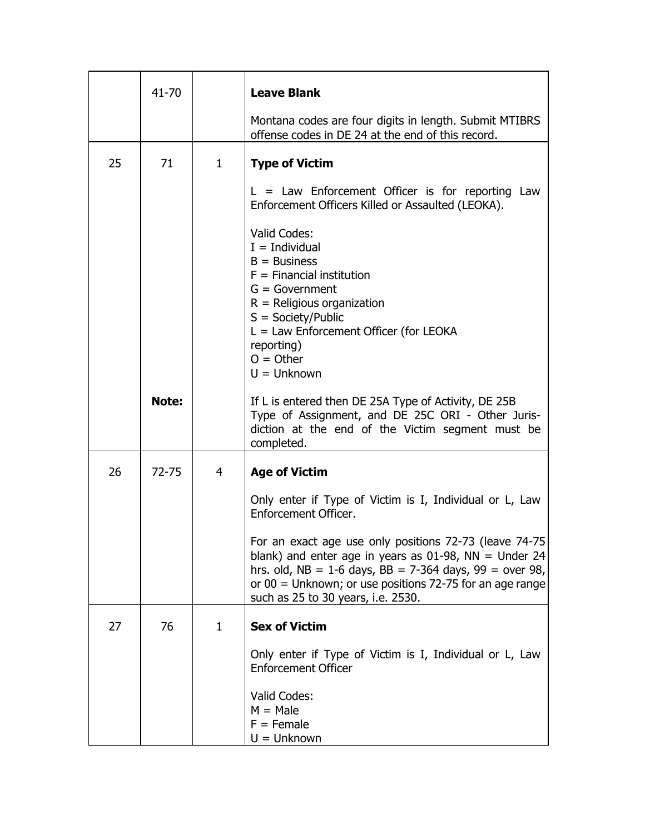|    | 41-70     |              | <b>Leave Blank</b>                                                                                                                                                                                                                                                                    |
|----|-----------|--------------|---------------------------------------------------------------------------------------------------------------------------------------------------------------------------------------------------------------------------------------------------------------------------------------|
|    |           |              | Montana codes are four digits in length. Submit MTIBRS<br>offense codes in DE 24 at the end of this record.                                                                                                                                                                           |
| 25 | 71        | $\mathbf{1}$ | <b>Type of Victim</b>                                                                                                                                                                                                                                                                 |
|    |           |              | $L = Law$ Enforcement Officer is for reporting Law<br>Enforcement Officers Killed or Assaulted (LEOKA).                                                                                                                                                                               |
|    |           |              | Valid Codes:<br>$I = Individual$<br>$B = B$ usiness<br>$F =$ Financial institution<br>$G = Government$<br>$R =$ Religious organization<br>$S =$ Society/Public<br>$L =$ Law Enforcement Officer (for LEOKA<br>reporting)<br>$O = Other$<br>$U =$ Unknown                              |
|    | Note:     |              | If L is entered then DE 25A Type of Activity, DE 25B<br>Type of Assignment, and DE 25C ORI - Other Juris-<br>diction at the end of the Victim segment must be<br>completed.                                                                                                           |
| 26 | $72 - 75$ | 4            | <b>Age of Victim</b>                                                                                                                                                                                                                                                                  |
|    |           |              | Only enter if Type of Victim is I, Individual or L, Law<br>Enforcement Officer.                                                                                                                                                                                                       |
|    |           |              | For an exact age use only positions 72-73 (leave 74-75)<br>blank) and enter age in years as 01-98, NN = Under 24<br>hrs. old, $NB = 1-6$ days, $BB = 7-364$ days, $99 =$ over 98,<br>or $00 =$ Unknown; or use positions 72-75 for an age range<br>such as 25 to 30 years, i.e. 2530. |
| 27 | 76        | $\mathbf{1}$ | <b>Sex of Victim</b>                                                                                                                                                                                                                                                                  |
|    |           |              | Only enter if Type of Victim is I, Individual or L, Law<br><b>Enforcement Officer</b>                                                                                                                                                                                                 |
|    |           |              | Valid Codes:<br>$M = Male$<br>$F =$ Female<br>$U =$ Unknown                                                                                                                                                                                                                           |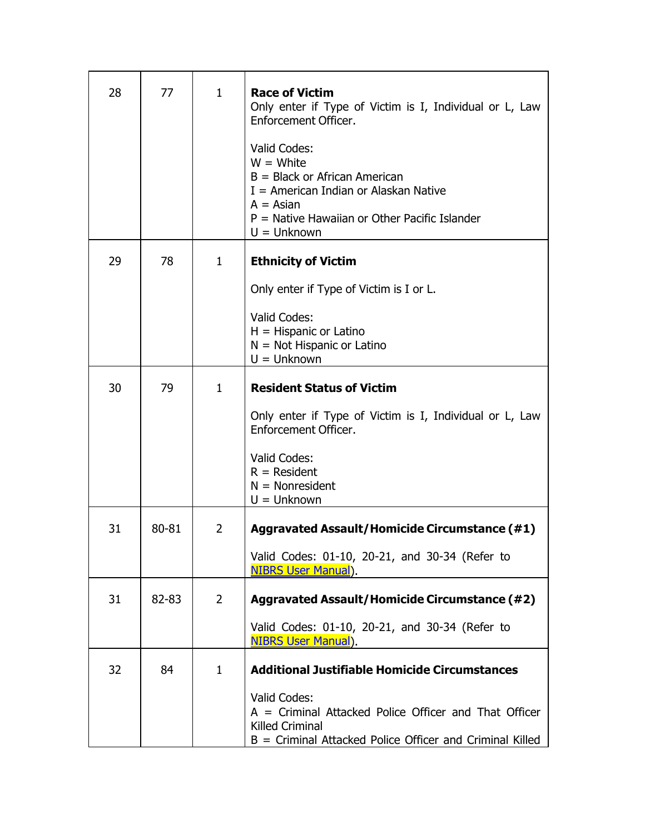| 28 | 77    | $\mathbf{1}$   | <b>Race of Victim</b><br>Only enter if Type of Victim is I, Individual or L, Law<br>Enforcement Officer.<br>Valid Codes:<br>$W = White$<br>$B = Black$ or African American<br>$I =$ American Indian or Alaskan Native<br>$A = Asian$<br>$P =$ Native Hawaiian or Other Pacific Islander |
|----|-------|----------------|-----------------------------------------------------------------------------------------------------------------------------------------------------------------------------------------------------------------------------------------------------------------------------------------|
| 29 | 78    | $\mathbf{1}$   | $U =$ Unknown<br><b>Ethnicity of Victim</b><br>Only enter if Type of Victim is I or L.<br>Valid Codes:<br>$H = H$ ispanic or Latino<br>$N = Not Hispanic or Latino$<br>$U =$ Unknown                                                                                                    |
| 30 | 79    | $\mathbf{1}$   | <b>Resident Status of Victim</b><br>Only enter if Type of Victim is I, Individual or L, Law<br>Enforcement Officer.<br>Valid Codes:<br>$R =$ Resident<br>$N =$ Nonresident<br>$U =$ Unknown                                                                                             |
| 31 | 80-81 | $\overline{2}$ | <b>Aggravated Assault/Homicide Circumstance (#1)</b><br>Valid Codes: 01-10, 20-21, and 30-34 (Refer to<br><b>NIBRS User Manual).</b>                                                                                                                                                    |
| 31 | 82-83 | $\overline{2}$ | <b>Aggravated Assault/Homicide Circumstance (#2)</b><br>Valid Codes: 01-10, 20-21, and 30-34 (Refer to<br><b>NIBRS User Manual</b> ).                                                                                                                                                   |
| 32 | 84    | $\mathbf{1}$   | <b>Additional Justifiable Homicide Circumstances</b><br>Valid Codes:<br>$A =$ Criminal Attacked Police Officer and That Officer<br>Killed Criminal<br>$B =$ Criminal Attacked Police Officer and Criminal Killed                                                                        |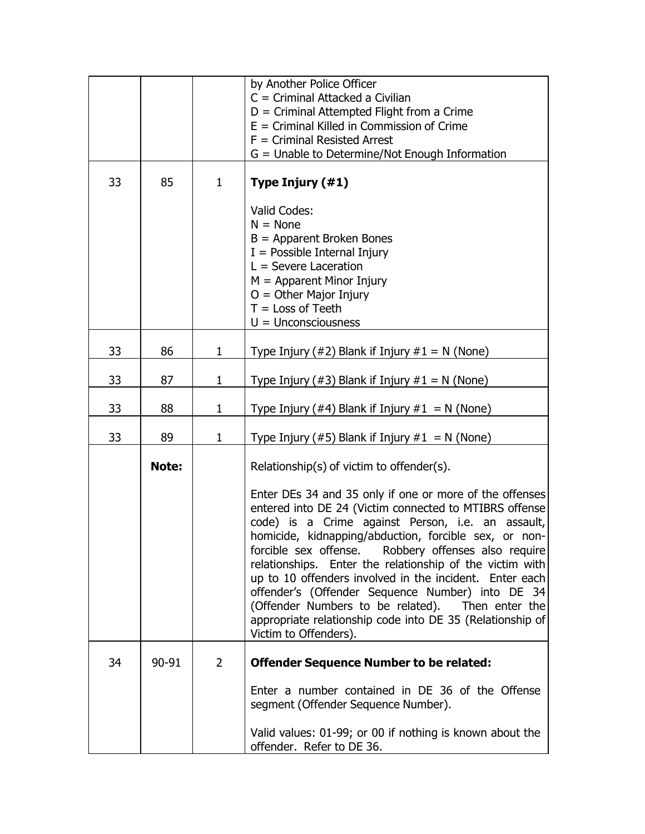|    |       |                | by Another Police Officer<br>$C =$ Criminal Attacked a Civilian<br>$D =$ Criminal Attempted Flight from a Crime<br>$E =$ Criminal Killed in Commission of Crime<br>$F =$ Criminal Resisted Arrest<br>$G =$ Unable to Determine/Not Enough Information                                                                                                                                                                                                                                                                                                                                                                                                          |
|----|-------|----------------|----------------------------------------------------------------------------------------------------------------------------------------------------------------------------------------------------------------------------------------------------------------------------------------------------------------------------------------------------------------------------------------------------------------------------------------------------------------------------------------------------------------------------------------------------------------------------------------------------------------------------------------------------------------|
| 33 | 85    | $\mathbf{1}$   | Type Injury (#1)                                                                                                                                                                                                                                                                                                                                                                                                                                                                                                                                                                                                                                               |
|    |       |                | Valid Codes:<br>$N = None$<br>$B =$ Apparent Broken Bones<br>$I =$ Possible Internal Injury<br>$L =$ Severe Laceration<br>$M =$ Apparent Minor Injury<br>$O =$ Other Major Injury<br>$T = Loss of Tech$<br>$U =$ Unconsciousness                                                                                                                                                                                                                                                                                                                                                                                                                               |
| 33 | 86    | 1              | Type Injury (#2) Blank if Injury $#1 = N$ (None)                                                                                                                                                                                                                                                                                                                                                                                                                                                                                                                                                                                                               |
| 33 | 87    | 1              | Type Injury (#3) Blank if Injury $#1 = N$ (None)                                                                                                                                                                                                                                                                                                                                                                                                                                                                                                                                                                                                               |
| 33 | 88    | 1              | Type Injury (#4) Blank if Injury #1 = N (None)                                                                                                                                                                                                                                                                                                                                                                                                                                                                                                                                                                                                                 |
| 33 | 89    | 1              | Type Injury (#5) Blank if Injury $#1 = N$ (None)                                                                                                                                                                                                                                                                                                                                                                                                                                                                                                                                                                                                               |
|    | Note: |                | Relationship(s) of victim to offender(s).<br>Enter DEs 34 and 35 only if one or more of the offenses<br>entered into DE 24 (Victim connected to MTIBRS offense<br>code) is a Crime against Person, i.e. an assault,<br>homicide, kidnapping/abduction, forcible sex, or non-<br>forcible sex offense.<br>Robbery offenses also require<br>relationships. Enter the relationship of the victim with<br>up to 10 offenders involved in the incident. Enter each<br>offender's (Offender Sequence Number) into DE 34<br>(Offender Numbers to be related).<br>Then enter the<br>appropriate relationship code into DE 35 (Relationship of<br>Victim to Offenders). |
| 34 | 90-91 | $\overline{2}$ | <b>Offender Sequence Number to be related:</b><br>Enter a number contained in DE 36 of the Offense<br>segment (Offender Sequence Number).<br>Valid values: 01-99; or 00 if nothing is known about the<br>offender. Refer to DE 36.                                                                                                                                                                                                                                                                                                                                                                                                                             |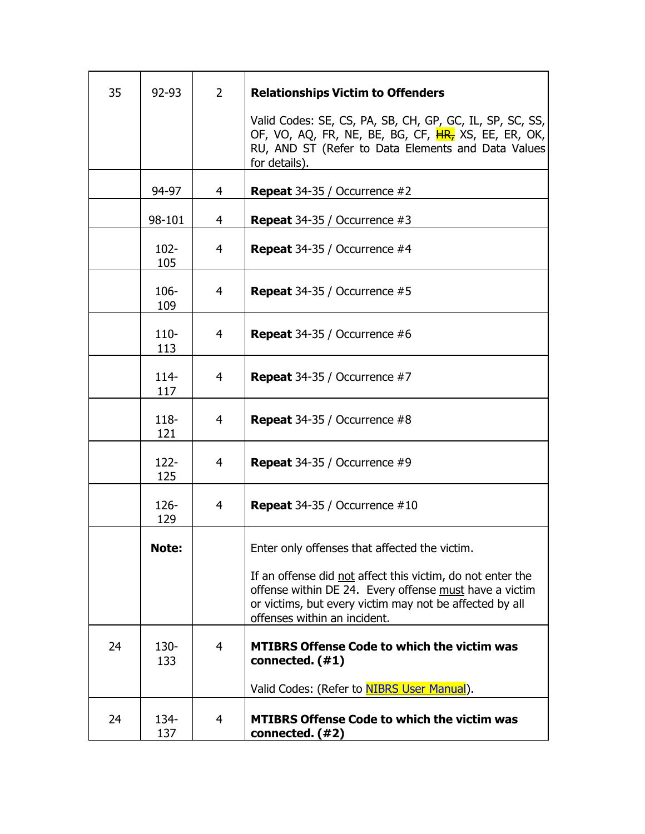| 35 | 92-93          | $\overline{2}$ | <b>Relationships Victim to Offenders</b>                                                                                                                                                                        |
|----|----------------|----------------|-----------------------------------------------------------------------------------------------------------------------------------------------------------------------------------------------------------------|
|    |                |                | Valid Codes: SE, CS, PA, SB, CH, GP, GC, IL, SP, SC, SS,<br>OF, VO, AQ, FR, NE, BE, BG, CF, HR, XS, EE, ER, OK,<br>RU, AND ST (Refer to Data Elements and Data Values<br>for details).                          |
|    | 94-97          | 4              | <b>Repeat</b> 34-35 / Occurrence $#2$                                                                                                                                                                           |
|    | 98-101         | $\overline{4}$ | <b>Repeat</b> 34-35 / Occurrence $#3$                                                                                                                                                                           |
|    | $102 -$<br>105 | 4              | <b>Repeat</b> 34-35 / Occurrence $#4$                                                                                                                                                                           |
|    | $106 -$<br>109 | 4              | <b>Repeat</b> 34-35 / Occurrence $#5$                                                                                                                                                                           |
|    | $110 -$<br>113 | 4              | <b>Repeat</b> 34-35 / Occurrence $#6$                                                                                                                                                                           |
|    | $114 -$<br>117 | 4              | <b>Repeat</b> 34-35 / Occurrence #7                                                                                                                                                                             |
|    | $118 -$<br>121 | $\overline{4}$ | <b>Repeat</b> 34-35 / Occurrence $#8$                                                                                                                                                                           |
|    | $122 -$<br>125 | 4              | <b>Repeat</b> 34-35 / Occurrence #9                                                                                                                                                                             |
|    | $126 -$<br>129 | $\overline{4}$ | <b>Repeat</b> $34-35$ / Occurrence $\#10$                                                                                                                                                                       |
|    | Note:          |                | Enter only offenses that affected the victim.                                                                                                                                                                   |
|    |                |                | If an offense did not affect this victim, do not enter the<br>offense within DE 24. Every offense must have a victim<br>or victims, but every victim may not be affected by all<br>offenses within an incident. |
| 24 | $130 -$<br>133 | $\overline{4}$ | <b>MTIBRS Offense Code to which the victim was</b><br>connected. (#1)                                                                                                                                           |
|    |                |                | Valid Codes: (Refer to <b>NIBRS User Manual</b> ).                                                                                                                                                              |
| 24 | 134-<br>137    | 4              | <b>MTIBRS Offense Code to which the victim was</b><br>connected. (#2)                                                                                                                                           |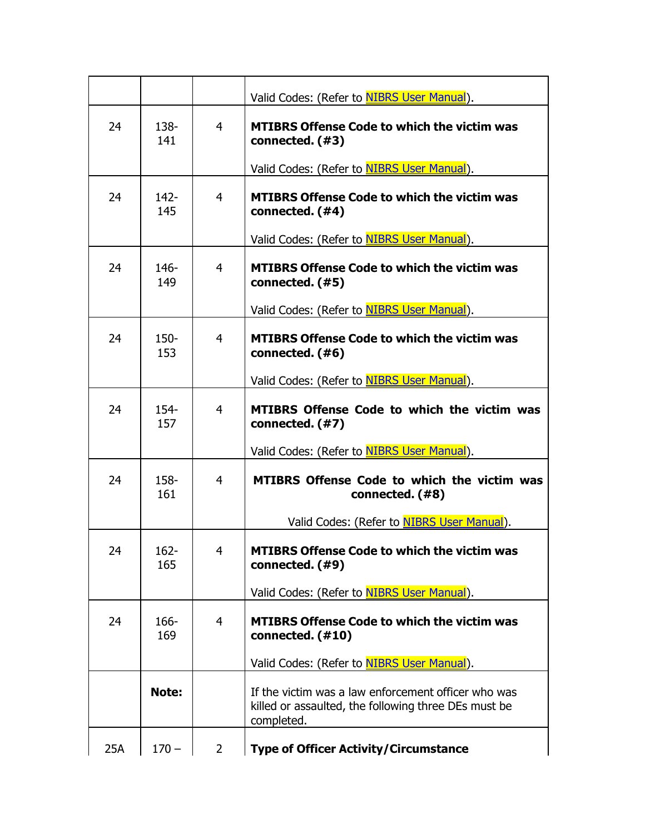|     |                |                | Valid Codes: (Refer to NIBRS User Manual).                                                                                |
|-----|----------------|----------------|---------------------------------------------------------------------------------------------------------------------------|
| 24  | 138-<br>141    | $\overline{4}$ | <b>MTIBRS Offense Code to which the victim was</b><br>connected. (#3)                                                     |
|     |                |                | Valid Codes: (Refer to NIBRS User Manual).                                                                                |
| 24  | $142 -$<br>145 | 4              | <b>MTIBRS Offense Code to which the victim was</b><br>connected. (#4)                                                     |
|     |                |                | Valid Codes: (Refer to NIBRS User Manual).                                                                                |
| 24  | 146-<br>149    | 4              | <b>MTIBRS Offense Code to which the victim was</b><br>connected. (#5)                                                     |
|     |                |                | Valid Codes: (Refer to NIBRS User Manual).                                                                                |
| 24  | $150 -$<br>153 | 4              | <b>MTIBRS Offense Code to which the victim was</b><br>connected. (#6)                                                     |
|     |                |                | Valid Codes: (Refer to NIBRS User Manual).                                                                                |
| 24  | $154 -$<br>157 | $\overline{4}$ | <b>MTIBRS Offense Code to which the victim was</b><br>connected. (#7)                                                     |
|     |                |                | Valid Codes: (Refer to NIBRS User Manual).                                                                                |
| 24  | 158-<br>161    | 4              | <b>MTIBRS Offense Code to which the victim was</b><br>connected. (#8)                                                     |
|     |                |                | Valid Codes: (Refer to NIBRS User Manual).                                                                                |
| 24  | 162-<br>165    | 4              | <b>MTIBRS Offense Code to which the victim was</b><br>connected. (#9)                                                     |
|     |                |                | Valid Codes: (Refer to <b>NIBRS User Manual</b> ).                                                                        |
| 24  | 166-<br>169    | $\overline{4}$ | <b>MTIBRS Offense Code to which the victim was</b><br>connected. (#10)                                                    |
|     |                |                | Valid Codes: (Refer to <b>NIBRS User Manual</b> ).                                                                        |
|     | Note:          |                | If the victim was a law enforcement officer who was<br>killed or assaulted, the following three DEs must be<br>completed. |
| 25A | $170 -$        | $\overline{2}$ | <b>Type of Officer Activity/Circumstance</b>                                                                              |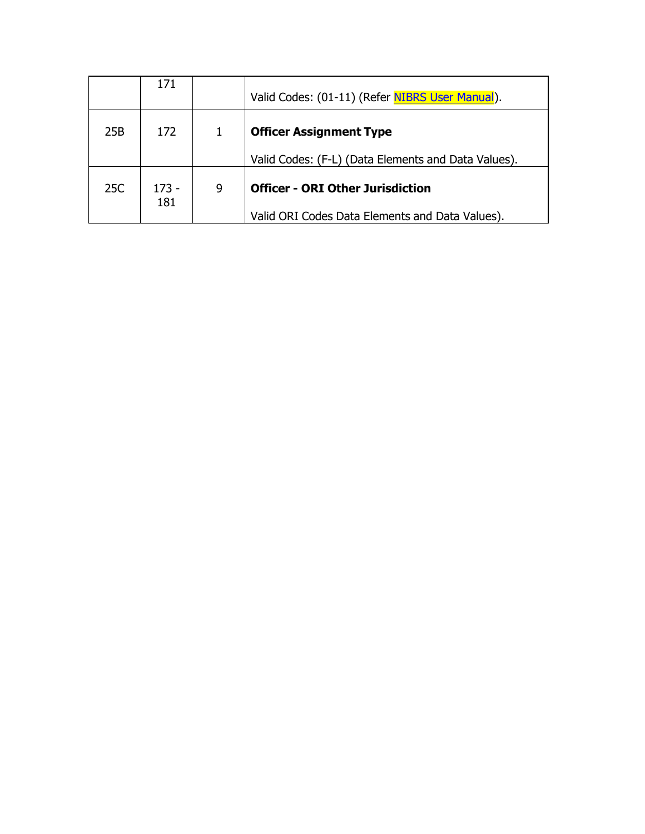|     | 171            |   | Valid Codes: (01-11) (Refer NIBRS User Manual).                                            |
|-----|----------------|---|--------------------------------------------------------------------------------------------|
| 25B | 172            |   | <b>Officer Assignment Type</b>                                                             |
|     |                |   | Valid Codes: (F-L) (Data Elements and Data Values).                                        |
| 25C | $173 -$<br>181 | 9 | <b>Officer - ORI Other Jurisdiction</b><br>Valid ORI Codes Data Elements and Data Values). |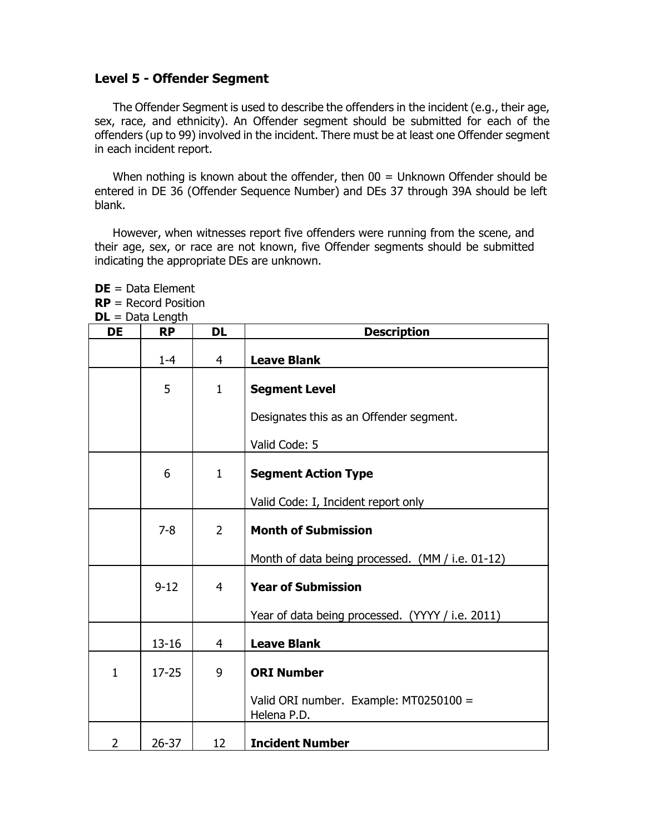#### **Level 5 - Offender Segment**

**DE** = Data Element

The Offender Segment is used to describe the offenders in the incident (e.g., their age, sex, race, and ethnicity). An Offender segment should be submitted for each of the offenders (up to 99) involved in the incident. There must be at least one Offender segment in each incident report.

When nothing is known about the offender, then 00 = Unknown Offender should be entered in DE 36 (Offender Sequence Number) and DEs 37 through 39A should be left blank.

However, when witnesses report five offenders were running from the scene, and their age, sex, or race are not known, five Offender segments should be submitted indicating the appropriate DEs are unknown.

|                | $RP =$ Record Position<br>$DL = Data Length$ |                |                                                       |  |  |
|----------------|----------------------------------------------|----------------|-------------------------------------------------------|--|--|
| <b>DE</b>      | <b>RP</b>                                    | <b>DL</b>      | <b>Description</b>                                    |  |  |
|                | $1 - 4$                                      | $\overline{4}$ | <b>Leave Blank</b>                                    |  |  |
|                | 5                                            | $\mathbf{1}$   | <b>Segment Level</b>                                  |  |  |
|                |                                              |                | Designates this as an Offender segment.               |  |  |
|                |                                              |                | Valid Code: 5                                         |  |  |
|                | 6                                            | $\mathbf{1}$   | <b>Segment Action Type</b>                            |  |  |
|                |                                              |                | Valid Code: I, Incident report only                   |  |  |
|                | $7 - 8$                                      | $\overline{2}$ | <b>Month of Submission</b>                            |  |  |
|                |                                              |                | Month of data being processed. (MM / i.e. 01-12)      |  |  |
|                | $9 - 12$                                     | $\overline{4}$ | <b>Year of Submission</b>                             |  |  |
|                |                                              |                | Year of data being processed. (YYYY / i.e. 2011)      |  |  |
|                | $13 - 16$                                    | 4              | <b>Leave Blank</b>                                    |  |  |
| $\mathbf{1}$   | $17 - 25$                                    | 9              | <b>ORI Number</b>                                     |  |  |
|                |                                              |                | Valid ORI number. Example: MT0250100 =<br>Helena P.D. |  |  |
| $\overline{2}$ | $26 - 37$                                    | 12             | <b>Incident Number</b>                                |  |  |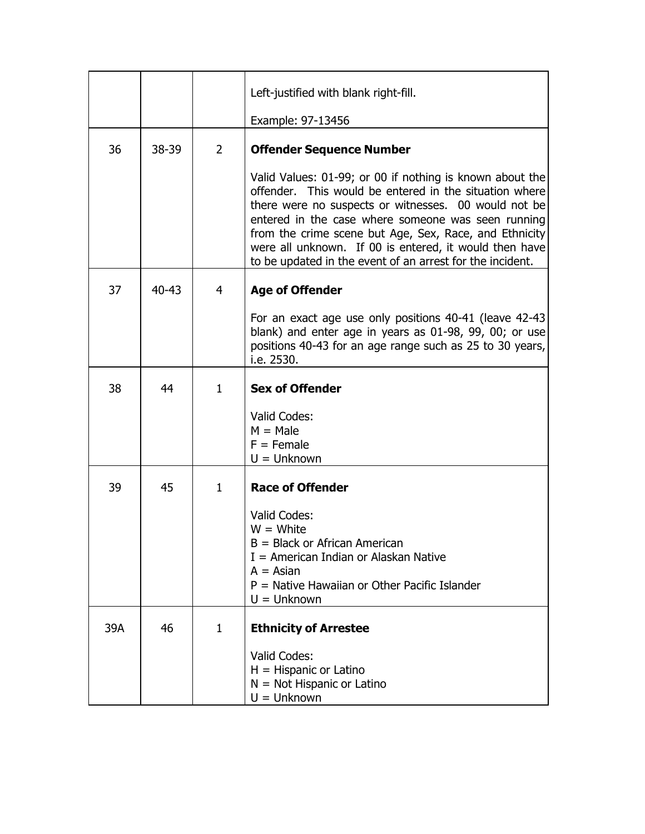|     |           |                | Left-justified with blank right-fill.                                                                                                                                                                                                                                                                                                                                                                             |
|-----|-----------|----------------|-------------------------------------------------------------------------------------------------------------------------------------------------------------------------------------------------------------------------------------------------------------------------------------------------------------------------------------------------------------------------------------------------------------------|
|     |           |                | Example: 97-13456                                                                                                                                                                                                                                                                                                                                                                                                 |
| 36  | 38-39     | $\overline{2}$ | <b>Offender Sequence Number</b>                                                                                                                                                                                                                                                                                                                                                                                   |
|     |           |                | Valid Values: 01-99; or 00 if nothing is known about the<br>offender. This would be entered in the situation where<br>there were no suspects or witnesses. 00 would not be<br>entered in the case where someone was seen running<br>from the crime scene but Age, Sex, Race, and Ethnicity<br>were all unknown. If 00 is entered, it would then have<br>to be updated in the event of an arrest for the incident. |
| 37  | $40 - 43$ | 4              | <b>Age of Offender</b>                                                                                                                                                                                                                                                                                                                                                                                            |
|     |           |                | For an exact age use only positions 40-41 (leave 42-43)<br>blank) and enter age in years as 01-98, 99, 00; or use<br>positions 40-43 for an age range such as 25 to 30 years,<br>i.e. 2530.                                                                                                                                                                                                                       |
| 38  | 44        | $\mathbf{1}$   | <b>Sex of Offender</b>                                                                                                                                                                                                                                                                                                                                                                                            |
|     |           |                | Valid Codes:<br>$M = Male$<br>$F =$ Female<br>$U =$ Unknown                                                                                                                                                                                                                                                                                                                                                       |
| 39  | 45        | $\mathbf{1}$   | <b>Race of Offender</b>                                                                                                                                                                                                                                                                                                                                                                                           |
|     |           |                | Valid Codes:<br>$W = White$<br>$B = Black$ or African American<br>$I =$ American Indian or Alaskan Native<br>$A = Asian$<br>P = Native Hawaiian or Other Pacific Islander<br>$U =$ Unknown                                                                                                                                                                                                                        |
| 39A | 46        | 1              | <b>Ethnicity of Arrestee</b>                                                                                                                                                                                                                                                                                                                                                                                      |
|     |           |                | Valid Codes:<br>$H = H$ ispanic or Latino<br>$N = Not Hispanic or Latino$<br>$U =$ Unknown                                                                                                                                                                                                                                                                                                                        |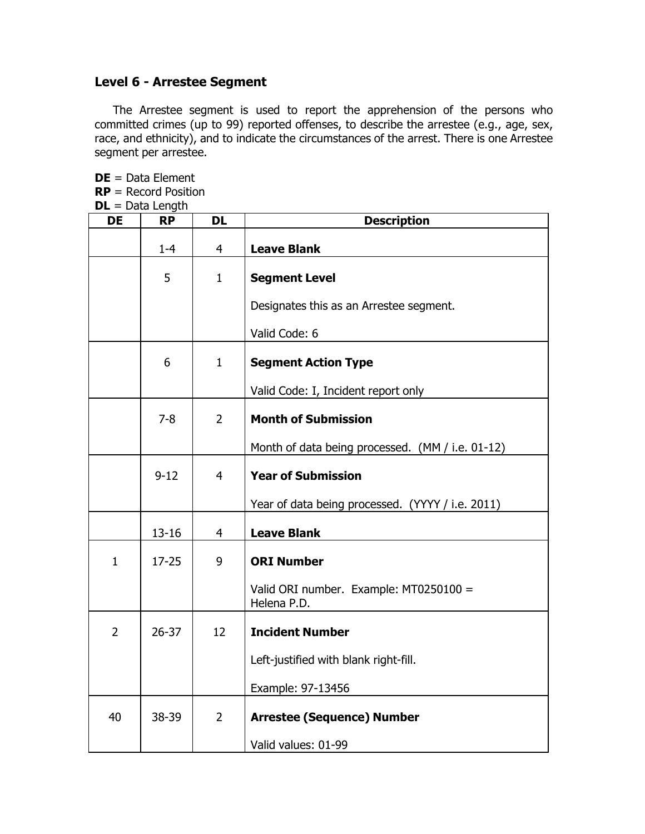## **Level 6 - Arrestee Segment**

The Arrestee segment is used to report the apprehension of the persons who committed crimes (up to 99) reported offenses, to describe the arrestee (e.g., age, sex, race, and ethnicity), and to indicate the circumstances of the arrest. There is one Arrestee segment per arrestee.

**DE** = Data Element **RP** = Record Position **DL** = Data Length

| <b>DE</b>      | <b>RP</b> | <b>DL</b>      | <b>Description</b>                                    |
|----------------|-----------|----------------|-------------------------------------------------------|
|                | $1 - 4$   | 4              | <b>Leave Blank</b>                                    |
|                | 5         | $\mathbf{1}$   | <b>Segment Level</b>                                  |
|                |           |                | Designates this as an Arrestee segment.               |
|                |           |                | Valid Code: 6                                         |
|                | 6         | $\mathbf{1}$   | <b>Segment Action Type</b>                            |
|                |           |                | Valid Code: I, Incident report only                   |
|                | $7 - 8$   | $\overline{2}$ | <b>Month of Submission</b>                            |
|                |           |                | Month of data being processed. (MM / i.e. 01-12)      |
|                | $9 - 12$  | $\overline{4}$ | <b>Year of Submission</b>                             |
|                |           |                | Year of data being processed. (YYYY / i.e. 2011)      |
|                | $13 - 16$ | $\overline{4}$ | <b>Leave Blank</b>                                    |
| $\mathbf{1}$   | $17 - 25$ | 9              | <b>ORI Number</b>                                     |
|                |           |                | Valid ORI number. Example: MT0250100 =<br>Helena P.D. |
| $\overline{2}$ | $26 - 37$ | 12             | <b>Incident Number</b>                                |
|                |           |                | Left-justified with blank right-fill.                 |
|                |           |                | Example: 97-13456                                     |
| 40             | 38-39     | $\overline{2}$ | <b>Arrestee (Sequence) Number</b>                     |
|                |           |                | Valid values: 01-99                                   |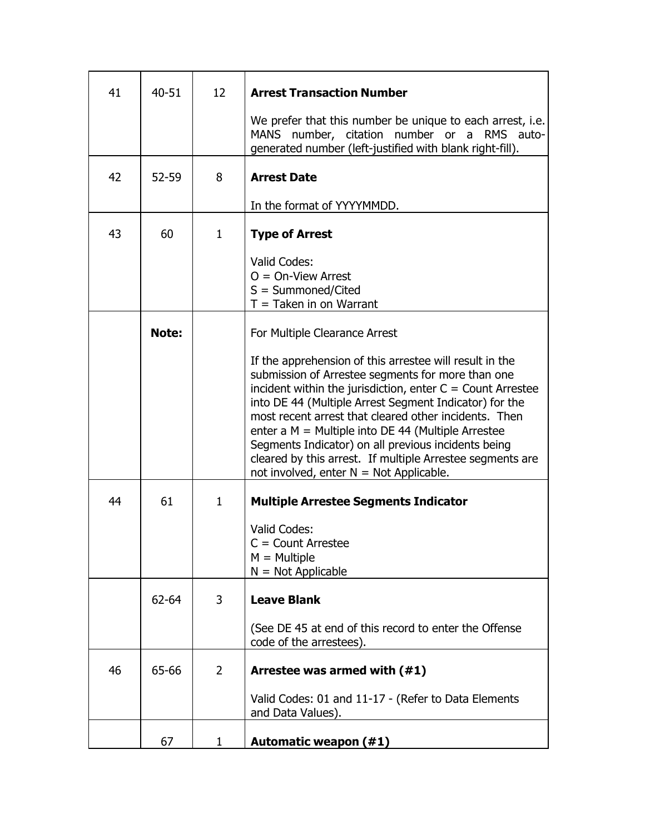| 41 | 40-51 | 12             | <b>Arrest Transaction Number</b>                                                                                                                                                                                                                                                                                                                                                                                                                                                                                         |
|----|-------|----------------|--------------------------------------------------------------------------------------------------------------------------------------------------------------------------------------------------------------------------------------------------------------------------------------------------------------------------------------------------------------------------------------------------------------------------------------------------------------------------------------------------------------------------|
|    |       |                | We prefer that this number be unique to each arrest, i.e.<br>MANS number, citation number or a RMS auto-<br>generated number (left-justified with blank right-fill).                                                                                                                                                                                                                                                                                                                                                     |
| 42 | 52-59 | 8              | <b>Arrest Date</b>                                                                                                                                                                                                                                                                                                                                                                                                                                                                                                       |
|    |       |                | In the format of YYYYMMDD.                                                                                                                                                                                                                                                                                                                                                                                                                                                                                               |
| 43 | 60    | $\mathbf{1}$   | <b>Type of Arrest</b>                                                                                                                                                                                                                                                                                                                                                                                                                                                                                                    |
|    |       |                | Valid Codes:<br>$O = On-View$ Arrest<br>$S = Summoned/Cited$<br>$T =$ Taken in on Warrant                                                                                                                                                                                                                                                                                                                                                                                                                                |
|    | Note: |                | For Multiple Clearance Arrest                                                                                                                                                                                                                                                                                                                                                                                                                                                                                            |
|    |       |                | If the apprehension of this arrestee will result in the<br>submission of Arrestee segments for more than one<br>incident within the jurisdiction, enter $C =$ Count Arrestee<br>into DE 44 (Multiple Arrest Segment Indicator) for the<br>most recent arrest that cleared other incidents. Then<br>enter a $M =$ Multiple into DE 44 (Multiple Arrestee<br>Segments Indicator) on all previous incidents being<br>cleared by this arrest. If multiple Arrestee segments are<br>not involved, enter $N = Not$ Applicable. |
| 44 | 61    | $\mathbf{1}$   | <b>Multiple Arrestee Segments Indicator</b>                                                                                                                                                                                                                                                                                                                                                                                                                                                                              |
|    |       |                | Valid Codes:<br>$C =$ Count Arrestee<br>$M =$ Multiple<br>$N = Not Applicable$                                                                                                                                                                                                                                                                                                                                                                                                                                           |
|    | 62-64 | 3              | <b>Leave Blank</b>                                                                                                                                                                                                                                                                                                                                                                                                                                                                                                       |
|    |       |                | (See DE 45 at end of this record to enter the Offense<br>code of the arrestees).                                                                                                                                                                                                                                                                                                                                                                                                                                         |
| 46 | 65-66 | $\overline{2}$ | Arrestee was armed with (#1)                                                                                                                                                                                                                                                                                                                                                                                                                                                                                             |
|    |       |                | Valid Codes: 01 and 11-17 - (Refer to Data Elements<br>and Data Values).                                                                                                                                                                                                                                                                                                                                                                                                                                                 |
|    | 67    | 1              | <b>Automatic weapon (#1)</b>                                                                                                                                                                                                                                                                                                                                                                                                                                                                                             |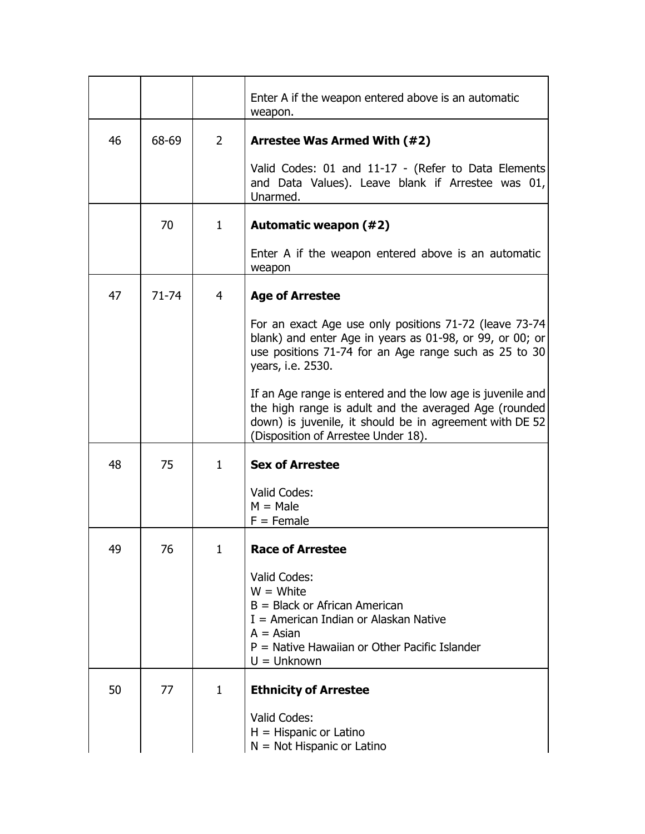|    |           |              | Enter A if the weapon entered above is an automatic<br>weapon.                                                                                                                                                        |
|----|-----------|--------------|-----------------------------------------------------------------------------------------------------------------------------------------------------------------------------------------------------------------------|
| 46 | 68-69     | 2            | Arrestee Was Armed With (#2)                                                                                                                                                                                          |
|    |           |              | Valid Codes: 01 and 11-17 - (Refer to Data Elements<br>and Data Values). Leave blank if Arrestee was 01,<br>Unarmed.                                                                                                  |
|    | 70        | 1            | Automatic weapon (#2)                                                                                                                                                                                                 |
|    |           |              | Enter A if the weapon entered above is an automatic<br>weapon                                                                                                                                                         |
| 47 | $71 - 74$ | 4            | <b>Age of Arrestee</b>                                                                                                                                                                                                |
|    |           |              | For an exact Age use only positions 71-72 (leave 73-74)<br>blank) and enter Age in years as 01-98, or 99, or 00; or<br>use positions 71-74 for an Age range such as 25 to 30<br>years, i.e. 2530.                     |
|    |           |              | If an Age range is entered and the low age is juvenile and<br>the high range is adult and the averaged Age (rounded<br>down) is juvenile, it should be in agreement with DE 52<br>(Disposition of Arrestee Under 18). |
| 48 | 75        | 1            | <b>Sex of Arrestee</b>                                                                                                                                                                                                |
|    |           |              | Valid Codes:<br>$M = Male$<br>$F =$ Female                                                                                                                                                                            |
| 49 | 76        | 1            | <b>Race of Arrestee</b>                                                                                                                                                                                               |
|    |           |              | Valid Codes:<br>$W = White$<br>$B = Black$ or African American<br>$I =$ American Indian or Alaskan Native<br>$A = Asian$<br>P = Native Hawaiian or Other Pacific Islander<br>$U =$ Unknown                            |
| 50 | 77        | $\mathbf{1}$ | <b>Ethnicity of Arrestee</b>                                                                                                                                                                                          |
|    |           |              | Valid Codes:<br>$H = H$ ispanic or Latino<br>$N = Not Hispanic or Latino$                                                                                                                                             |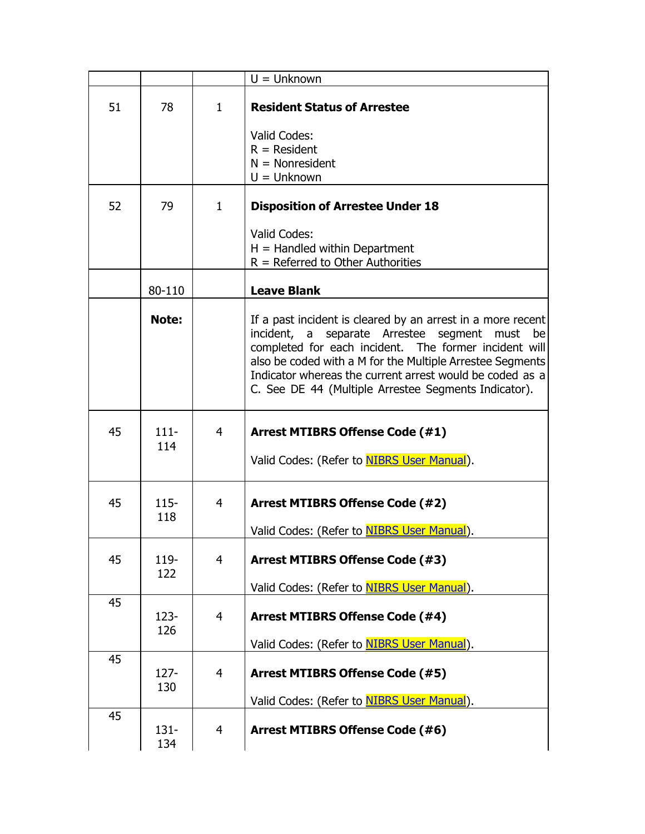|    |                |                | $U =$ Unknown                                                                                                                                                                                                                                                                                                                                          |
|----|----------------|----------------|--------------------------------------------------------------------------------------------------------------------------------------------------------------------------------------------------------------------------------------------------------------------------------------------------------------------------------------------------------|
| 51 | 78             | $\mathbf{1}$   | <b>Resident Status of Arrestee</b>                                                                                                                                                                                                                                                                                                                     |
|    |                |                | <b>Valid Codes:</b>                                                                                                                                                                                                                                                                                                                                    |
|    |                |                | $R =$ Resident                                                                                                                                                                                                                                                                                                                                         |
|    |                |                | $N = Nonresident$<br>$U =$ Unknown                                                                                                                                                                                                                                                                                                                     |
|    |                |                |                                                                                                                                                                                                                                                                                                                                                        |
| 52 | 79             | $\mathbf{1}$   | <b>Disposition of Arrestee Under 18</b>                                                                                                                                                                                                                                                                                                                |
|    |                |                | Valid Codes:                                                                                                                                                                                                                                                                                                                                           |
|    |                |                | $H =$ Handled within Department                                                                                                                                                                                                                                                                                                                        |
|    |                |                | $R =$ Referred to Other Authorities                                                                                                                                                                                                                                                                                                                    |
|    | 80-110         |                | <b>Leave Blank</b>                                                                                                                                                                                                                                                                                                                                     |
|    | Note:          |                | If a past incident is cleared by an arrest in a more recent<br>incident, a separate Arrestee segment must be<br>completed for each incident. The former incident will<br>also be coded with a M for the Multiple Arrestee Segments<br>Indicator whereas the current arrest would be coded as a<br>C. See DE 44 (Multiple Arrestee Segments Indicator). |
| 45 | $111 -$<br>114 | 4              | <b>Arrest MTIBRS Offense Code (#1)</b><br>Valid Codes: (Refer to <b>NIBRS User Manual</b> ).                                                                                                                                                                                                                                                           |
| 45 | $115 -$        | 4              | <b>Arrest MTIBRS Offense Code (#2)</b>                                                                                                                                                                                                                                                                                                                 |
|    | 118            |                | Valid Codes: (Refer to NIBRS User Manual).                                                                                                                                                                                                                                                                                                             |
| 45 | 119-<br>122    | $\overline{4}$ | <b>Arrest MTIBRS Offense Code (#3)</b>                                                                                                                                                                                                                                                                                                                 |
|    |                |                | Valid Codes: (Refer to <b>NIBRS User Manual</b> ).                                                                                                                                                                                                                                                                                                     |
| 45 |                |                |                                                                                                                                                                                                                                                                                                                                                        |
|    | $123 -$        | $\overline{4}$ | <b>Arrest MTIBRS Offense Code (#4)</b>                                                                                                                                                                                                                                                                                                                 |
|    | 126            |                | Valid Codes: (Refer to NIBRS User Manual).                                                                                                                                                                                                                                                                                                             |
| 45 |                |                |                                                                                                                                                                                                                                                                                                                                                        |
|    | $127 -$<br>130 | $\overline{4}$ | <b>Arrest MTIBRS Offense Code (#5)</b>                                                                                                                                                                                                                                                                                                                 |
| 45 |                |                | Valid Codes: (Refer to <b>NIBRS User Manual</b> ).                                                                                                                                                                                                                                                                                                     |
|    | $131 -$<br>134 | 4              | <b>Arrest MTIBRS Offense Code (#6)</b>                                                                                                                                                                                                                                                                                                                 |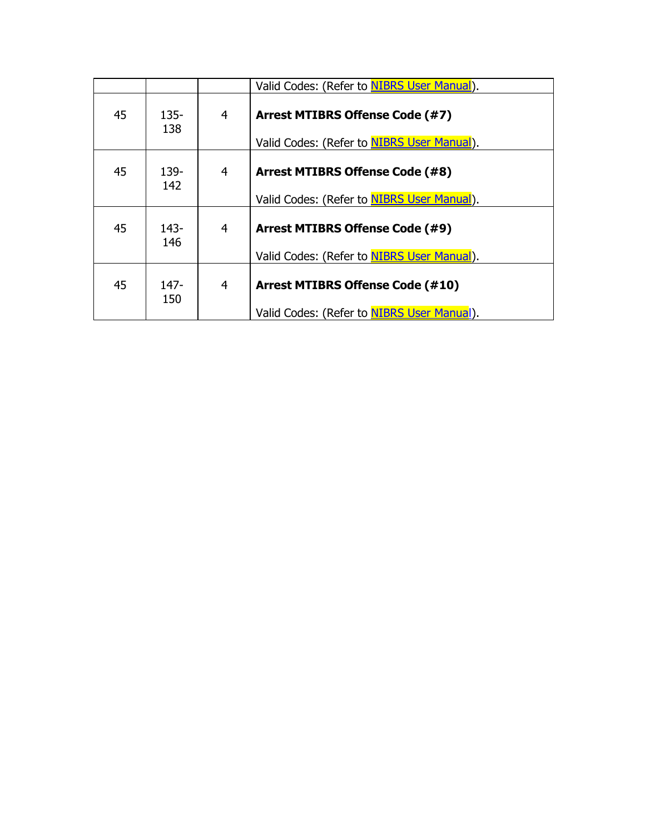|    |                |                | Valid Codes: (Refer to NIBRS User Manual).                                            |
|----|----------------|----------------|---------------------------------------------------------------------------------------|
| 45 | $135 -$<br>138 | 4              | <b>Arrest MTIBRS Offense Code (#7)</b><br>Valid Codes: (Refer to NIBRS User Manual).  |
| 45 | 139-<br>142    | $\overline{4}$ | Arrest MTIBRS Offense Code (#8)<br>Valid Codes: (Refer to NIBRS User Manual).         |
| 45 | $143-$<br>146  | $\overline{4}$ | <b>Arrest MTIBRS Offense Code (#9)</b><br>Valid Codes: (Refer to NIBRS User Manual).  |
| 45 | $147 -$<br>150 | $\overline{4}$ | <b>Arrest MTIBRS Offense Code (#10)</b><br>Valid Codes: (Refer to NIBRS User Manual). |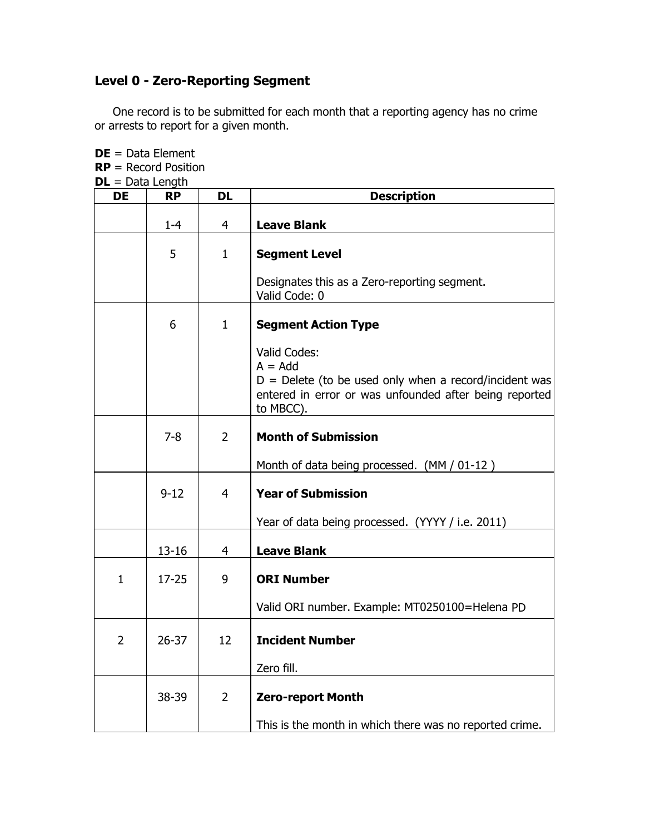## **Level 0 - Zero-Reporting Segment**

One record is to be submitted for each month that a reporting agency has no crime or arrests to report for a given month.

| $DL = Data Length$ |           |                |                                                                                                                                                              |
|--------------------|-----------|----------------|--------------------------------------------------------------------------------------------------------------------------------------------------------------|
| <b>DE</b>          | <b>RP</b> | <b>DL</b>      | <b>Description</b>                                                                                                                                           |
|                    | $1 - 4$   | 4              | <b>Leave Blank</b>                                                                                                                                           |
|                    | 5         | $\mathbf{1}$   | <b>Segment Level</b>                                                                                                                                         |
|                    |           |                | Designates this as a Zero-reporting segment.<br>Valid Code: 0                                                                                                |
|                    | 6         | 1              | <b>Segment Action Type</b>                                                                                                                                   |
|                    |           |                | Valid Codes:<br>$A = Add$<br>$D =$ Delete (to be used only when a record/incident was<br>entered in error or was unfounded after being reported<br>to MBCC). |
|                    | $7 - 8$   | $\overline{2}$ | <b>Month of Submission</b>                                                                                                                                   |
|                    |           |                | Month of data being processed. (MM / 01-12)                                                                                                                  |
|                    | $9 - 12$  | 4              | <b>Year of Submission</b>                                                                                                                                    |
|                    |           |                | Year of data being processed. (YYYY / i.e. 2011)                                                                                                             |
|                    | $13 - 16$ | 4              | <b>Leave Blank</b>                                                                                                                                           |
| $\mathbf{1}$       | $17 - 25$ | 9              | <b>ORI Number</b>                                                                                                                                            |
|                    |           |                | Valid ORI number. Example: MT0250100=Helena PD                                                                                                               |
| $\overline{2}$     | $26 - 37$ | 12             | <b>Incident Number</b>                                                                                                                                       |
|                    |           |                | Zero fill.                                                                                                                                                   |
|                    | 38-39     | $\overline{2}$ | <b>Zero-report Month</b>                                                                                                                                     |
|                    |           |                | This is the month in which there was no reported crime.                                                                                                      |

**DE** = Data Element